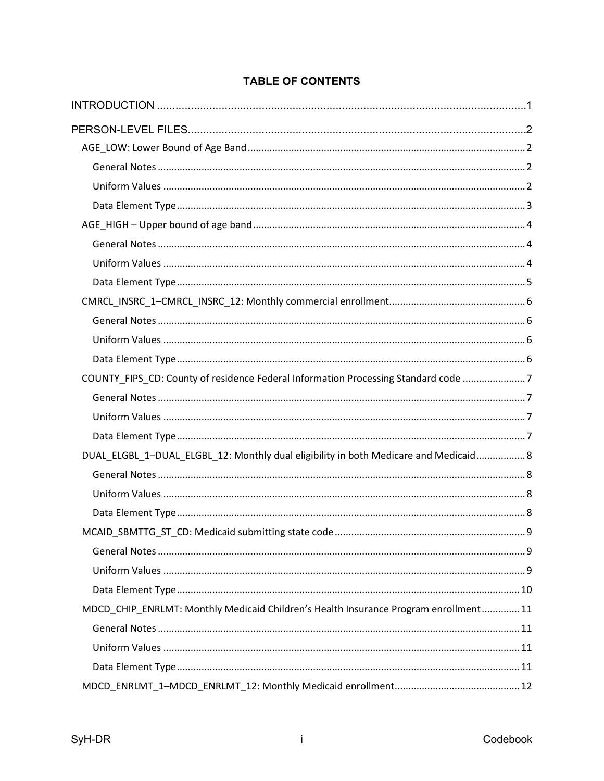| COUNTY_FIPS_CD: County of residence Federal Information Processing Standard code 7   |  |
|--------------------------------------------------------------------------------------|--|
|                                                                                      |  |
|                                                                                      |  |
|                                                                                      |  |
| DUAL_ELGBL_1-DUAL_ELGBL_12: Monthly dual eligibility in both Medicare and Medicaid 8 |  |
|                                                                                      |  |
|                                                                                      |  |
|                                                                                      |  |
|                                                                                      |  |
|                                                                                      |  |
|                                                                                      |  |
|                                                                                      |  |
| MDCD_CHIP_ENRLMT: Monthly Medicaid Children's Health Insurance Program enrollment 11 |  |
|                                                                                      |  |
|                                                                                      |  |
|                                                                                      |  |
|                                                                                      |  |

# **TABLE OF CONTENTS**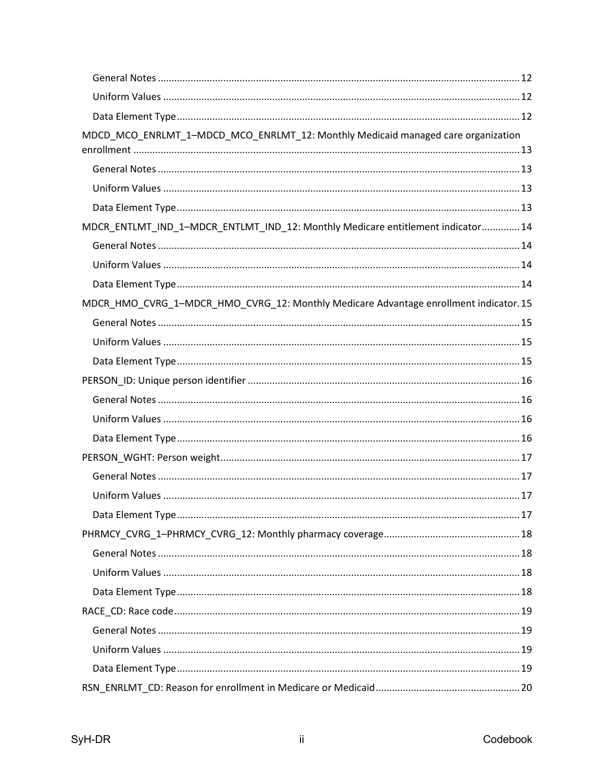| MDCD_MCO_ENRLMT_1-MDCD_MCO_ENRLMT_12: Monthly Medicaid managed care organization     |  |
|--------------------------------------------------------------------------------------|--|
|                                                                                      |  |
|                                                                                      |  |
|                                                                                      |  |
|                                                                                      |  |
| MDCR_ENTLMT_IND_1-MDCR_ENTLMT_IND_12: Monthly Medicare entitlement indicator 14      |  |
|                                                                                      |  |
|                                                                                      |  |
|                                                                                      |  |
| MDCR_HMO_CVRG_1-MDCR_HMO_CVRG_12: Monthly Medicare Advantage enrollment indicator.15 |  |
|                                                                                      |  |
|                                                                                      |  |
|                                                                                      |  |
|                                                                                      |  |
|                                                                                      |  |
|                                                                                      |  |
|                                                                                      |  |
|                                                                                      |  |
|                                                                                      |  |
|                                                                                      |  |
|                                                                                      |  |
|                                                                                      |  |
|                                                                                      |  |
|                                                                                      |  |
|                                                                                      |  |
|                                                                                      |  |
|                                                                                      |  |
|                                                                                      |  |
|                                                                                      |  |
|                                                                                      |  |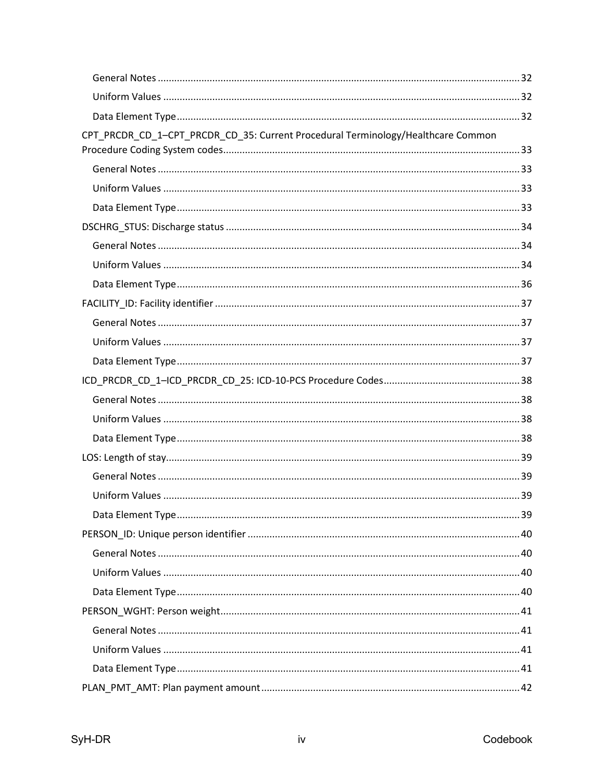| CPT_PRCDR_CD_1-CPT_PRCDR_CD_35: Current Procedural Terminology/Healthcare Common |  |
|----------------------------------------------------------------------------------|--|
|                                                                                  |  |
|                                                                                  |  |
|                                                                                  |  |
|                                                                                  |  |
|                                                                                  |  |
|                                                                                  |  |
|                                                                                  |  |
|                                                                                  |  |
|                                                                                  |  |
|                                                                                  |  |
|                                                                                  |  |
|                                                                                  |  |
|                                                                                  |  |
|                                                                                  |  |
|                                                                                  |  |
|                                                                                  |  |
|                                                                                  |  |
|                                                                                  |  |
|                                                                                  |  |
|                                                                                  |  |
|                                                                                  |  |
|                                                                                  |  |
|                                                                                  |  |
|                                                                                  |  |
|                                                                                  |  |
|                                                                                  |  |
|                                                                                  |  |
|                                                                                  |  |
|                                                                                  |  |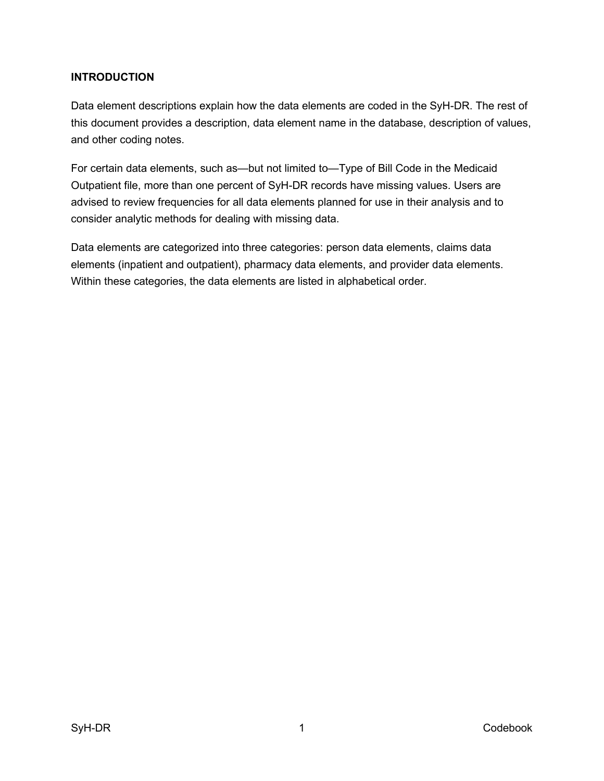### <span id="page-8-0"></span>**INTRODUCTION**

Data element descriptions explain how the data elements are coded in the SyH-DR. The rest of this document provides a description, data element name in the database, description of values, and other coding notes.

For certain data elements, such as—but not limited to—Type of Bill Code in the Medicaid Outpatient file, more than one percent of SyH-DR records have missing values. Users are advised to review frequencies for all data elements planned for use in their analysis and to consider analytic methods for dealing with missing data.

Data elements fall into these categories: person data elements, claims data elements (inpatient and outpatient), pharmacy data elements, and provider data elements. Within these categories, the data elements are listed in alphabetical order.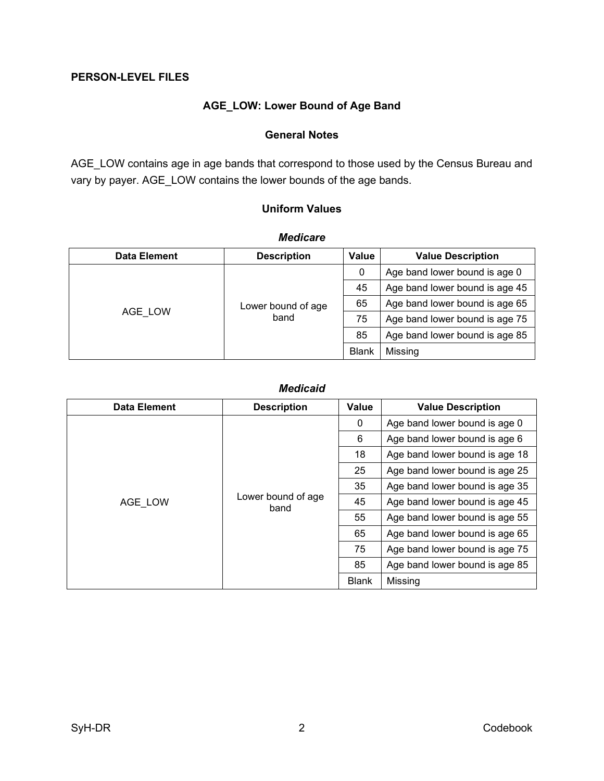#### <span id="page-9-1"></span><span id="page-9-0"></span>**PERSON-LEVEL FILES**

# **AGE\_LOW: Lower Eound of Dge Eand**

#### **General Notes**

<span id="page-9-2"></span>AGE\_LOW contains age in age bands that correspond to those used by the Census Bureau and vary by payer. AGE\_LOW contains the lower bounds of the age bands.

### **Uniform Values**

<span id="page-9-3"></span>

| ,,,,,,,,,,,         |                            |              |                                |
|---------------------|----------------------------|--------------|--------------------------------|
| <b>Data Element</b> | <b>Description</b>         | Value        | <b>Value Description</b>       |
|                     |                            | 0            | Age band lower bound is age 0  |
|                     |                            | 45           | Age band lower bound is age 45 |
| AGE LOW             | Lower bound of age<br>band | 65           | Age band lower bound is age 65 |
|                     |                            | 75           | Age band lower bound is age 75 |
|                     |                            | 85           | Age band lower bound is age 85 |
|                     |                            | <b>Blank</b> | Missing                        |

#### *Medicare*

#### *Medicaid*

| <b>Data Element</b> | <b>Description</b>         | Value        | <b>Value Description</b>       |
|---------------------|----------------------------|--------------|--------------------------------|
|                     |                            | $\mathbf{0}$ | Age band lower bound is age 0  |
|                     |                            | 6            | Age band lower bound is age 6  |
|                     |                            | 18           | Age band lower bound is age 18 |
|                     |                            | 25           | Age band lower bound is age 25 |
|                     | Lower bound of age<br>band | 35           | Age band lower bound is age 35 |
| AGE LOW             |                            | 45           | Age band lower bound is age 45 |
|                     |                            | 55           | Age band lower bound is age 55 |
|                     |                            | 65           | Age band lower bound is age 65 |
|                     |                            | 75           | Age band lower bound is age 75 |
|                     |                            | 85           | Age band lower bound is age 85 |
|                     |                            | <b>Blank</b> | Missing                        |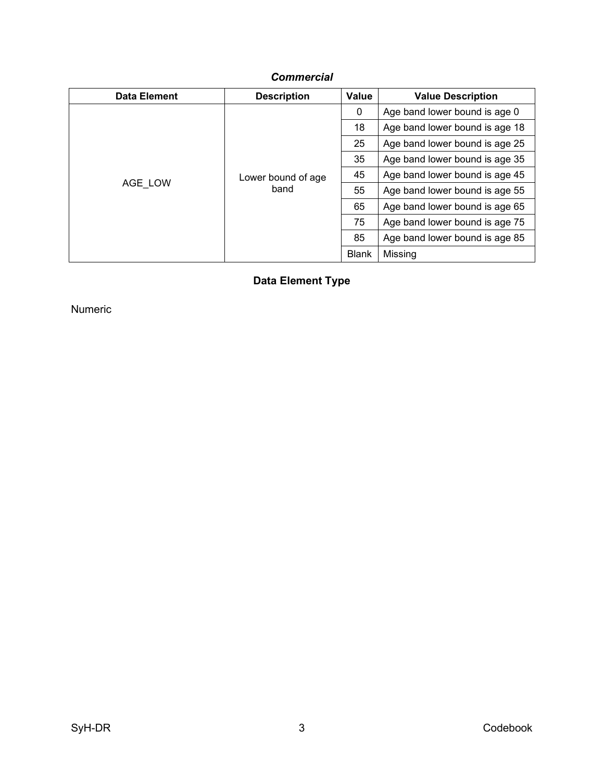# *Commercial*

<span id="page-10-0"></span>

| <b>Data Element</b> | <b>Description</b>         | Value        | <b>Value Description</b>       |
|---------------------|----------------------------|--------------|--------------------------------|
|                     |                            | 0            | Age band lower bound is age 0  |
|                     |                            | 18           | Age band lower bound is age 18 |
|                     |                            | 25           | Age band lower bound is age 25 |
|                     | Lower bound of age<br>band | 35           | Age band lower bound is age 35 |
|                     |                            | 45           | Age band lower bound is age 45 |
| AGE LOW             |                            | 55           | Age band lower bound is age 55 |
|                     |                            | 65           | Age band lower bound is age 65 |
|                     |                            | 75           | Age band lower bound is age 75 |
|                     |                            | 85           | Age band lower bound is age 85 |
|                     |                            | <b>Blank</b> | Missing                        |

**Data Element Type**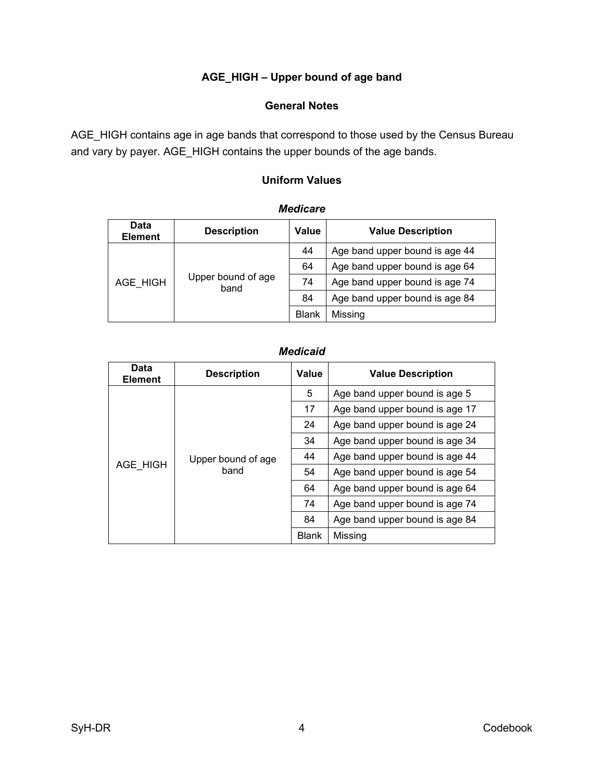# **AGE\_HIGH : Upper bound of age band**

### **General Notes**

<span id="page-11-2"></span><span id="page-11-1"></span><span id="page-11-0"></span>AGE\_HIGH contains age in age bands that correspond to those used by the Census Bureau and vary by payer. AGE\_HIGH contains the upper bounds of the age bands.

### **Uniform Values**

| Data<br><b>Element</b>                 | <b>Description</b> | Value                          | <b>Value Description</b>       |  |
|----------------------------------------|--------------------|--------------------------------|--------------------------------|--|
| Upper bound of age<br>AGE_HIGH<br>band | 44                 | Age band upper bound is age 44 |                                |  |
|                                        |                    | 64                             | Age band upper bound is age 64 |  |
|                                        |                    | 74                             | Age band upper bound is age 74 |  |
|                                        |                    | 84                             | Age band upper bound is age 84 |  |
|                                        |                    | <b>Blank</b>                   | Missing                        |  |

#### *Medicare*

#### *Medicaid*

| Data<br><b>Element</b> | <b>Description</b>         | Value   | <b>Value Description</b>       |
|------------------------|----------------------------|---------|--------------------------------|
|                        | Upper bound of age<br>band | 5       | Age band upper bound is age 5  |
|                        |                            | 17      | Age band upper bound is age 17 |
|                        |                            | 24      | Age band upper bound is age 24 |
|                        |                            | 34      | Age band upper bound is age 34 |
|                        |                            | 44      | Age band upper bound is age 44 |
| AGE HIGH               |                            | 54      | Age band upper bound is age 54 |
|                        |                            | 64      | Age band upper bound is age 64 |
|                        |                            | 74      | Age band upper bound is age 74 |
|                        |                            | 84      | Age band upper bound is age 84 |
|                        | <b>Blank</b>               | Missing |                                |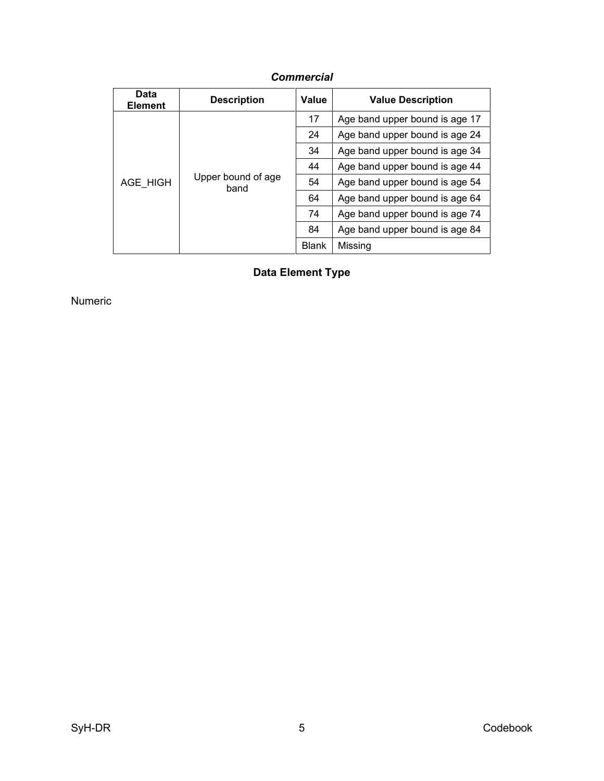<span id="page-12-0"></span>

| Data<br><b>Element</b> | <b>Description</b>         | Value        | <b>Value Description</b>       |
|------------------------|----------------------------|--------------|--------------------------------|
| AGE HIGH               | Upper bound of age<br>band | 17           | Age band upper bound is age 17 |
|                        |                            | 24           | Age band upper bound is age 24 |
|                        |                            | 34           | Age band upper bound is age 34 |
|                        |                            | 44           | Age band upper bound is age 44 |
|                        |                            | 54           | Age band upper bound is age 54 |
|                        |                            | 64           | Age band upper bound is age 64 |
|                        |                            | 74           | Age band upper bound is age 74 |
|                        |                            | 84           | Age band upper bound is age 84 |
|                        |                            | <b>Blank</b> | Missing                        |

# *Commercial*

**Data Element Type**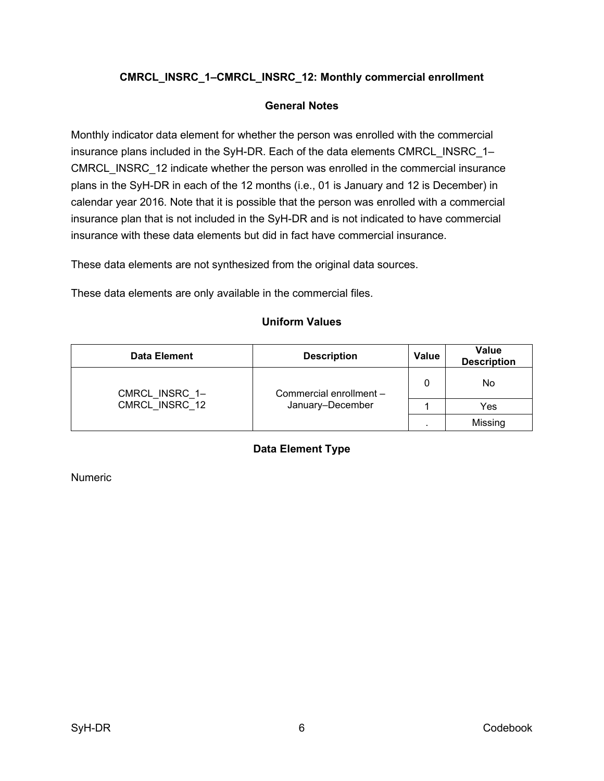# <span id="page-13-0"></span>**CMRCL\_INSRC\_1–CMRCL\_INSRC\_12: Monthly commercial enrollment**

#### **General Notes**

<span id="page-13-1"></span>Monthly indicator data element for whether the person was enrolled with the commercial insurance plans included in the SyH-DR. Each of the data elements CMRCL\_INSRC\_1– CMRCL\_INSRC\_12 indicate whether the person was enrolled in the commercial insurance plans in the SyH-DR in each of the 12 months (i.e., 01 is January and 12 is December) in calendar year 2016. Note that it is possible that the person was enrolled with a commercial insurance plan that is not included in the SyH-DR and is not indicated to have commercial insurance with these data elements but did in fact have commercial insurance.

These data elements are not synthesized from the original data sources.

<span id="page-13-2"></span>These data elements are only available in the commercial files.

#### **Uniform Values**

<span id="page-13-3"></span>

| <b>Data Element</b> | <b>Description</b>                          | <b>Value</b> | Value<br><b>Description</b> |
|---------------------|---------------------------------------------|--------------|-----------------------------|
| CMRCL_INSRC_1-      | Commercial enrollment -<br>January-December | 0            | No                          |
| CMRCL INSRC 12      |                                             |              | Yes                         |
|                     |                                             |              | Missing                     |

### **Data Element Type**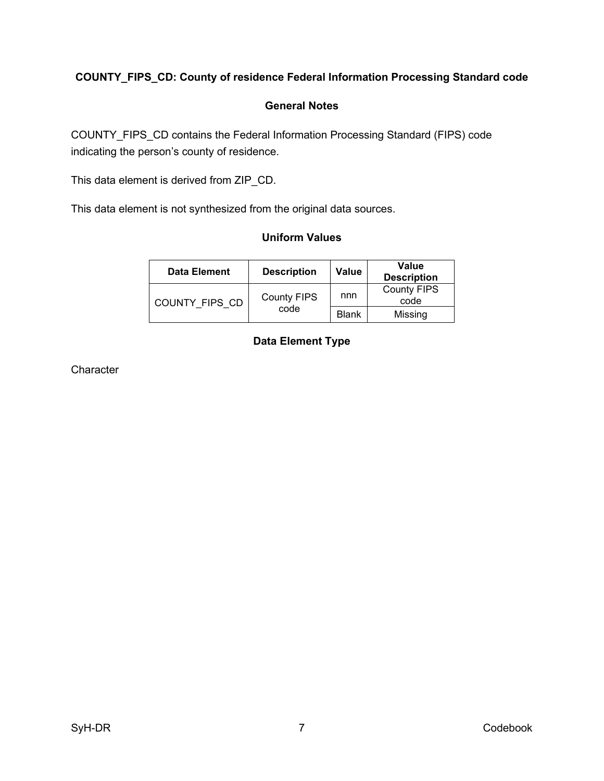# <span id="page-14-0"></span>**COUNTY\_FIPS\_CD: County of residence Federal Information Processing Standard code**

#### **General Notes**

<span id="page-14-1"></span>COUNTY\_FIPS\_CD contains the Federal Information Processing Standard (FIPS) code indicating the person's county of residence.

This data element is derived from ZIP\_CD.

<span id="page-14-2"></span>This data element is not synthesized from the original data sources.

#### **Uniform Values**

<span id="page-14-3"></span>

| <b>Data Element</b> | <b>Description</b>         | Value        | Value<br><b>Description</b> |
|---------------------|----------------------------|--------------|-----------------------------|
| COUNTY FIPS CD      | <b>County FIPS</b><br>code | nnn          | <b>County FIPS</b><br>code  |
|                     |                            | <b>Blank</b> | Missing                     |

# **Data Element Type**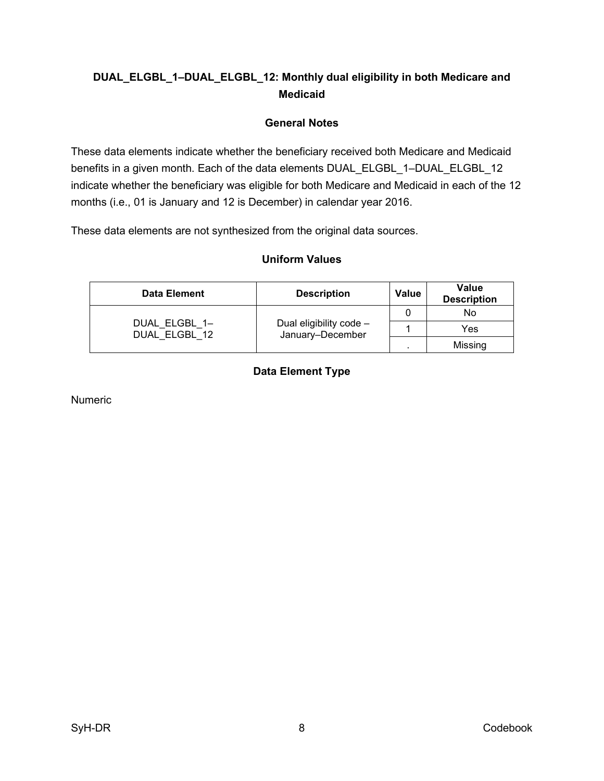# <span id="page-15-0"></span>**DUAL\_ELGBL\_1–DUAL\_ELGBL\_12: Monthly dual eligibility in both Medicare and Medicaid**

### **General Notes**

<span id="page-15-1"></span>These data elements indicate whether the beneficiary received both Medicare and Medicaid benefits in a given month. Each of the data elements DUAL\_ELGBL\_1–DUAL\_ELGBL\_12 indicate whether the beneficiary was eligible for both Medicare and Medicaid in each of the 12 months (i.e., 01 is January and 12 is December) in calendar year 2016.

<span id="page-15-2"></span>These data elements are not synthesized from the original data sources.

#### **Uniform Values**

<span id="page-15-3"></span>

| Data Element                   | <b>Description</b>                          | <b>Value</b> | Value<br><b>Description</b> |
|--------------------------------|---------------------------------------------|--------------|-----------------------------|
|                                |                                             |              | No                          |
| DUAL ELGBL 1-<br>DUAL ELGBL 12 | Dual eligibility code -<br>January-December |              | Yes                         |
|                                |                                             |              | Missing                     |

# **Data Element Type**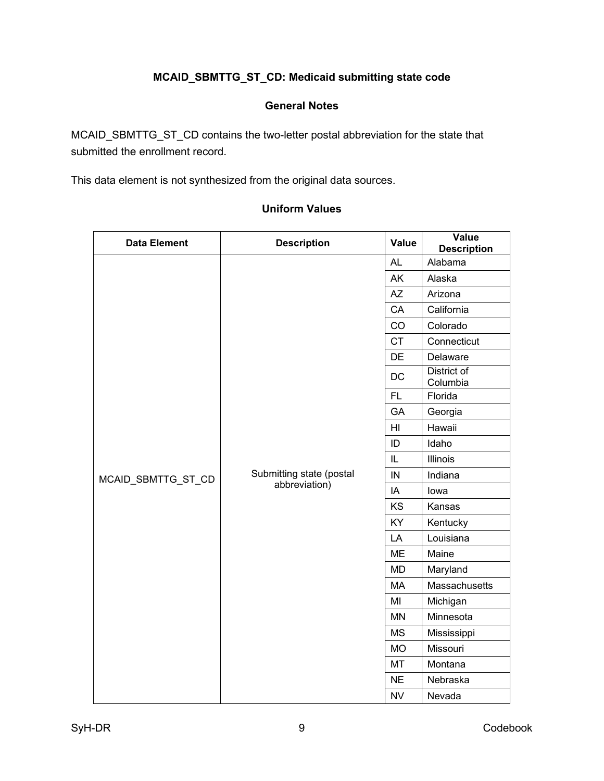# **MCAID\_SBMTTG\_ST\_CD: Medicaid submitting state code**

### **General Notes**

<span id="page-16-1"></span><span id="page-16-0"></span>MCAID\_SBMTTG\_ST\_CD contains the two-letter postal abbreviation for the state that submitted the enrollment record.

<span id="page-16-2"></span>This data element is not synthesized from the original data sources.

# **Data Element Description Value Value Value Description** MCAID\_SBMTTG\_ST\_CD Submitting state (postal abbreviation) AL Alabama AK Alaska AZ Arizona CA | California CO Colorado CT | Connecticut DE Delaware DC District of Columbia FL Florida GA | Georgia HI Hawaii ID Idaho IL Illinois IN Indiana IA Iowa  $KS$  Kansas KY | Kentucky LA Louisiana ME | Maine MD | Maryland MA Massachusetts MI Michigan MN | Minnesota MS | Mississippi MO | Missouri MT Montana NE Nebraska NV Nevada

#### **Uniform Values**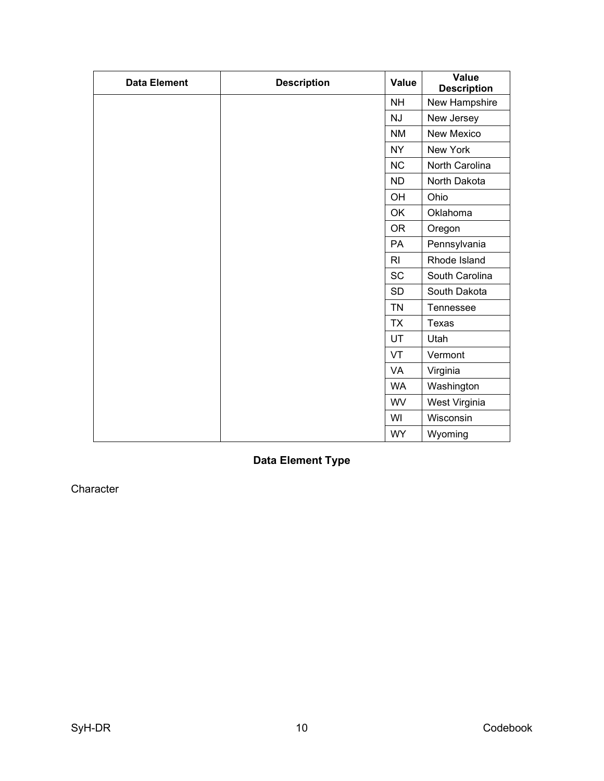| <b>Data Element</b> | <b>Description</b> | Value          | Value<br><b>Description</b> |
|---------------------|--------------------|----------------|-----------------------------|
|                     |                    | <b>NH</b>      | New Hampshire               |
|                     |                    | <b>NJ</b>      | New Jersey                  |
|                     |                    | <b>NM</b>      | New Mexico                  |
|                     |                    | <b>NY</b>      | New York                    |
|                     |                    | <b>NC</b>      | North Carolina              |
|                     |                    | <b>ND</b>      | North Dakota                |
|                     |                    | OH             | Ohio                        |
|                     |                    | OK             | Oklahoma                    |
|                     |                    | <b>OR</b>      | Oregon                      |
|                     |                    | PA             | Pennsylvania                |
|                     |                    | R <sub>l</sub> | Rhode Island                |
|                     |                    | <b>SC</b>      | South Carolina              |
|                     |                    | <b>SD</b>      | South Dakota                |
|                     |                    | <b>TN</b>      | Tennessee                   |
|                     |                    | <b>TX</b>      | Texas                       |
|                     |                    | <b>UT</b>      | Utah                        |
|                     |                    | VT             | Vermont                     |
|                     |                    | <b>VA</b>      | Virginia                    |
|                     |                    | <b>WA</b>      | Washington                  |
|                     |                    | <b>WV</b>      | West Virginia               |
|                     |                    | WI             | Wisconsin                   |
|                     |                    | <b>WY</b>      | Wyoming                     |

<span id="page-17-0"></span>**Data Element Type**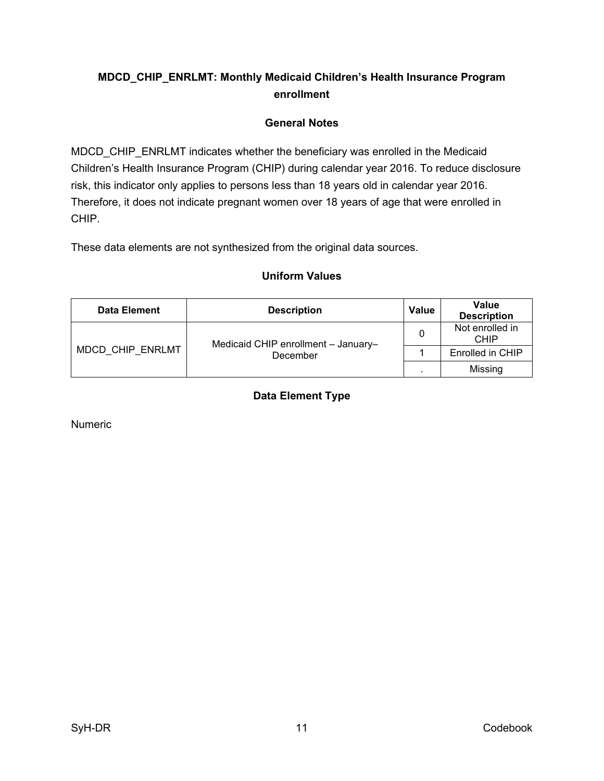# <span id="page-18-0"></span>**MDCD\_CHIP\_ENRLMT: Monthly Medicaid Children's Health Insurance Program enrollment**

# **General Notes**

<span id="page-18-1"></span>MDCD CHIP ENRLMT indicates whether the beneficiary was enrolled in the Medicaid Children's Health Insurance Program (CHIP) during calendar year 2016. To reduce disclosure risk, this indicator only applies to persons less than 18 years old in calendar year 2016. Therefore, it does not indicate pregnant women over 18 years of age that were enrolled in CHIP.

<span id="page-18-2"></span>These data elements are not synthesized from the original data sources.

<span id="page-18-3"></span>

| Data Element     | <b>Description</b>                              | <b>Value</b> | Value<br><b>Description</b> |
|------------------|-------------------------------------------------|--------------|-----------------------------|
| MDCD CHIP ENRLMT | Medicaid CHIP enrollment - January-<br>December |              | Not enrolled in<br>CHIP     |
|                  |                                                 |              | Enrolled in CHIP            |
|                  |                                                 |              | Missing                     |

# **Uniform Values**

# **Data Element Type**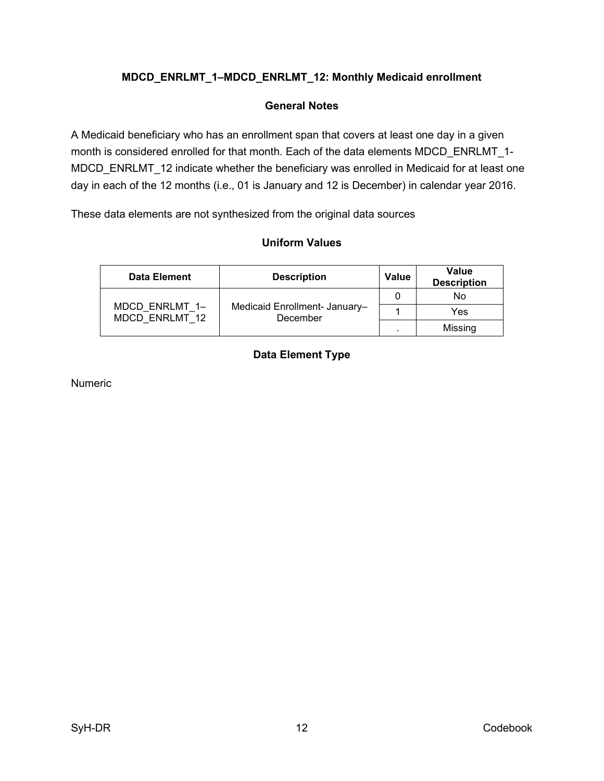# <span id="page-19-0"></span>**MDCD\_ENRLMT\_1–MDCD\_ENRLMT\_12: Monthly Medicaid enrollment**

### **General Notes**

<span id="page-19-1"></span>A Medicaid beneficiary who has an enrollment span that covers at least one day in a given month is considered enrolled for that month. Each of the data elements MDCD ENRLMT 1-MDCD ENRLMT 12 indicate whether the beneficiary was enrolled in Medicaid for at least one day in each of the 12 months (i.e., 01 is January and 12 is December) in calendar year 2016.

<span id="page-19-2"></span>These data elements are not synthesized from the original data sources

#### **Uniform Values**

<span id="page-19-3"></span>

| <b>Data Element</b>              | <b>Description</b>                        | Value | Value<br><b>Description</b> |
|----------------------------------|-------------------------------------------|-------|-----------------------------|
|                                  | Medicaid Enrollment- January-<br>December |       | No                          |
| MDCD ENRLMT 1-<br>MDCD ENRLMT 12 |                                           |       | Yes                         |
|                                  |                                           |       | Missing                     |

### **Data Element Type**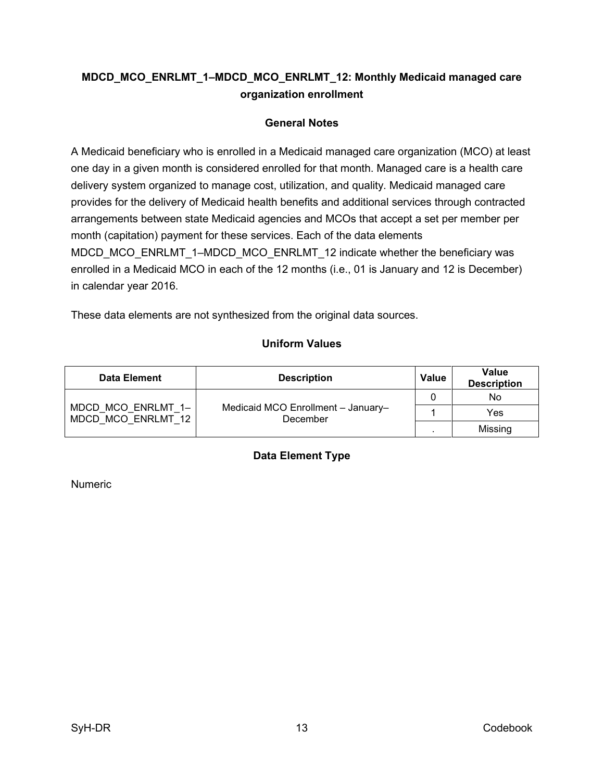# <span id="page-20-0"></span>**MDCD\_MCO\_ENRLMT\_1–MDCD\_MCO\_ENRLMT\_12: Monthly Medicaid managed care organization enrollment**

# **General Notes**

<span id="page-20-1"></span>A Medicaid beneficiary who is enrolled in a Medicaid managed care organization (MCO) at least one day in a given month is considered enrolled for that month. Managed care is a health care delivery system organized to manage cost, utilization, and quality. Medicaid managed care provides for the delivery of Medicaid health benefits and additional services through contracted arrangements between state Medicaid agencies and MCOs that accept a set per member per month (capitation) payment for these services. Each of the data elements MDCD\_MCO\_ENRLMT\_1–MDCD\_MCO\_ENRLMT\_12 indicate whether the beneficiary was enrolled in a Medicaid MCO in each of the 12 months (i.e., 01 is January and 12 is December) in calendar year 2016.

<span id="page-20-2"></span>These data elements are not synthesized from the original data sources.

# **Uniform Values**

<span id="page-20-3"></span>

| <b>Data Element</b>                      | <b>Description</b>                             | Value | <b>Value</b><br><b>Description</b> |
|------------------------------------------|------------------------------------------------|-------|------------------------------------|
|                                          | Medicaid MCO Enrollment - January-<br>December | 0     | No                                 |
| MDCD MCO ENRLMT 1-<br>MDCD MCO ENRLMT 12 |                                                |       | Yes                                |
|                                          |                                                |       | Missing                            |

# **Data Element Type**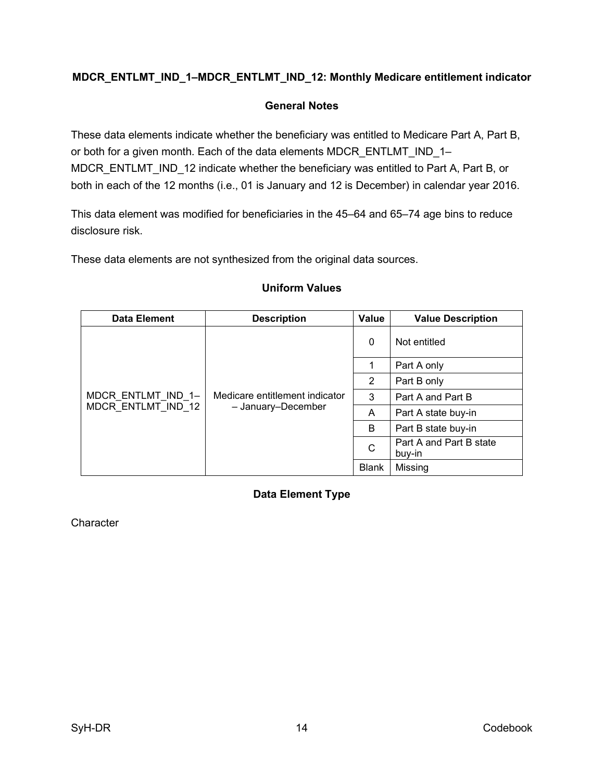# <span id="page-21-1"></span><span id="page-21-0"></span>**MDCR\_ENTLMT\_IND\_1–MDCR\_ENTLMT\_IND\_12: Monthly Medicare entitlement indicator**

#### **General Notes**

These data elements indicate whether the beneficiary was entitled to Medicare Part A, Part B, or both for a given month. Each of the data elements MDCR\_ENTLMT\_IND\_1-MDCR\_ENTLMT\_IND\_12 indicate whether the beneficiary was entitled to Part A, Part B, or both in each of the 12 months (i.e., 01 is January and 12 is December) in calendar year 2016.

This data element was modified for beneficiaries in the 45–64 and 65–74 age bins to reduce disclosure risk.

<span id="page-21-2"></span>These data elements are not synthesized from the original data sources.

#### <span id="page-21-3"></span>**Data Element Description Value Value Description** MDCR\_ENTLMT\_IND\_1– MDCR\_ENTLMT\_IND\_12 Medicare entitlement indicator – January–December 0 Not entitled 1 | Part A only 2 | Part B only 3 Part A and Part B  $\mathsf{A}$  | Part A state buy-in  $\mathsf{B}$  | Part B state buy-in  $\begin{array}{|c|c|c|}\n\hline\n\end{array}$  Part A and Part B state buy-in Blank | Missing

#### **Uniform Values**

**Data Element Type**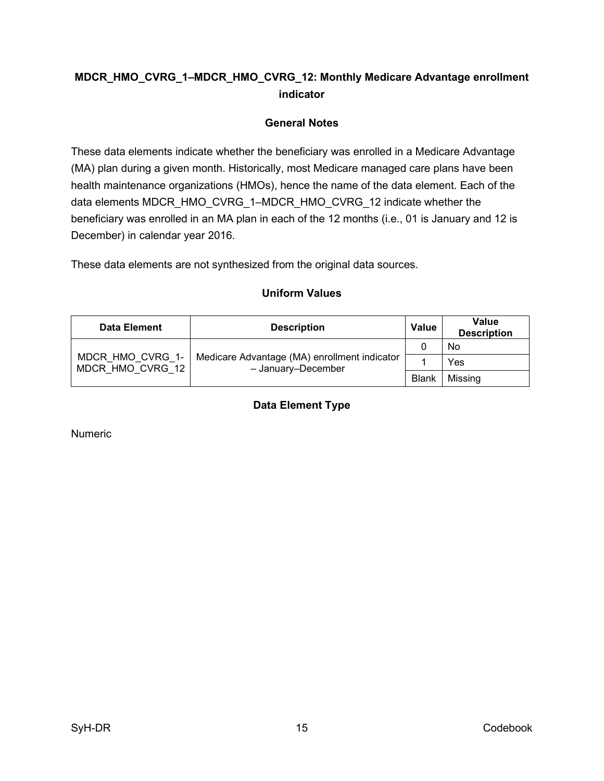# <span id="page-22-0"></span>**MDCR\_HMO\_CVRG\_1–MDCR\_HMO\_CVRG\_12: Monthly Medicare Advantage enrollment indicator**

# **General Notes**

<span id="page-22-1"></span>These data elements indicate whether the beneficiary was enrolled in a Medicare Advantage (MA) plan during a given month. Historically, most Medicare managed care plans have been health maintenance organizations (HMOs), hence the name of the data element. Each of the data elements MDCR\_HMO\_CVRG\_1–MDCR\_HMO\_CVRG\_12 indicate whether the beneficiary was enrolled in an MA plan in each of the 12 months (i.e., 01 is January and 12 is December) in calendar year 2016.

<span id="page-22-2"></span>These data elements are not synthesized from the original data sources.

<span id="page-22-3"></span>

| <b>Data Element</b>                  | <b>Description</b>                                                 | <b>Value</b> | <b>Value</b><br><b>Description</b> |
|--------------------------------------|--------------------------------------------------------------------|--------------|------------------------------------|
|                                      | Medicare Advantage (MA) enrollment indicator<br>- January-December |              | No                                 |
| MDCR HMO CVRG 1-<br>MDCR HMO CVRG 12 |                                                                    |              | Yes                                |
|                                      |                                                                    | <b>Blank</b> | Missing                            |

### **Uniform Values**

**Data Element Type**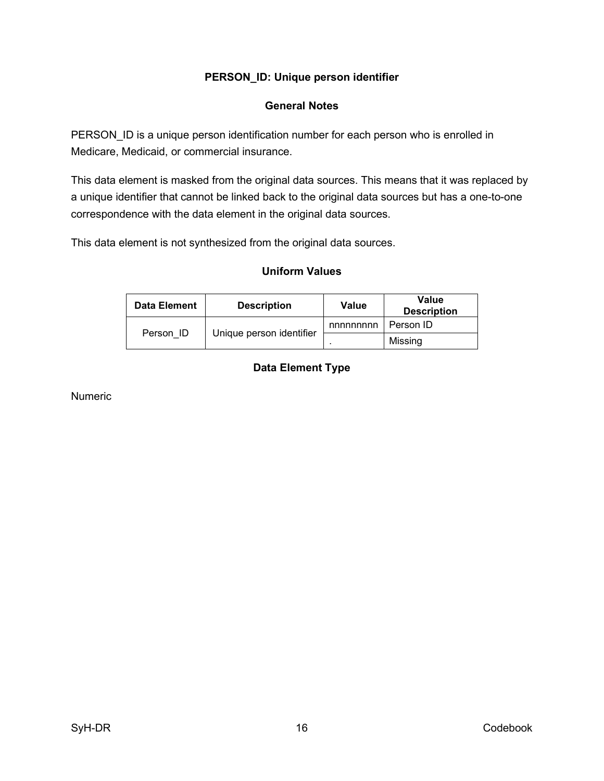## **PERSON\_ID: Unique person identifier**

### **General Notes**

<span id="page-23-1"></span><span id="page-23-0"></span>PERSON\_ID is a unique person identification number for each person who is enrolled in Medicare, Medicaid, or commercial insurance.

This data element is masked from the original data sources. This means that it was replaced by a unique identifier that cannot be linked back to the original data sources but has a one-to-one correspondence with the data element in the original data sources.

<span id="page-23-2"></span>This data element is not synthesized from the original data sources.

#### **Uniform Values**

<span id="page-23-3"></span>

| <b>Data Element</b> | <b>Description</b>       | Value     | Value<br><b>Description</b> |
|---------------------|--------------------------|-----------|-----------------------------|
|                     | Unique person identifier | nnnnnnnnn | Person ID                   |
| Person ID           |                          |           | Missing                     |

# **Data Element Type**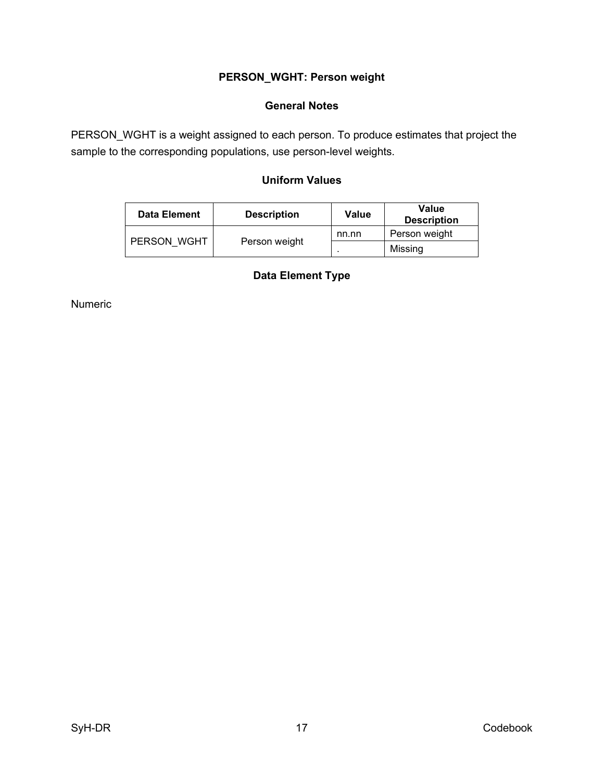# **PERSON\_WGHT: Person weight**

### **General Notes**

<span id="page-24-2"></span><span id="page-24-1"></span><span id="page-24-0"></span>PERSON\_WGHT is a weight assigned to each person. To produce estimates that project the sample to the corresponding populations, use person-level weights.

# **Uniform Values**

<span id="page-24-3"></span>

| <b>Data Element</b> | <b>Description</b> | Value | Value<br><b>Description</b> |
|---------------------|--------------------|-------|-----------------------------|
|                     |                    | nn.nn | Person weight               |
| PERSON WGHT         | Person weight      |       | Missing                     |

# **Data Element Type**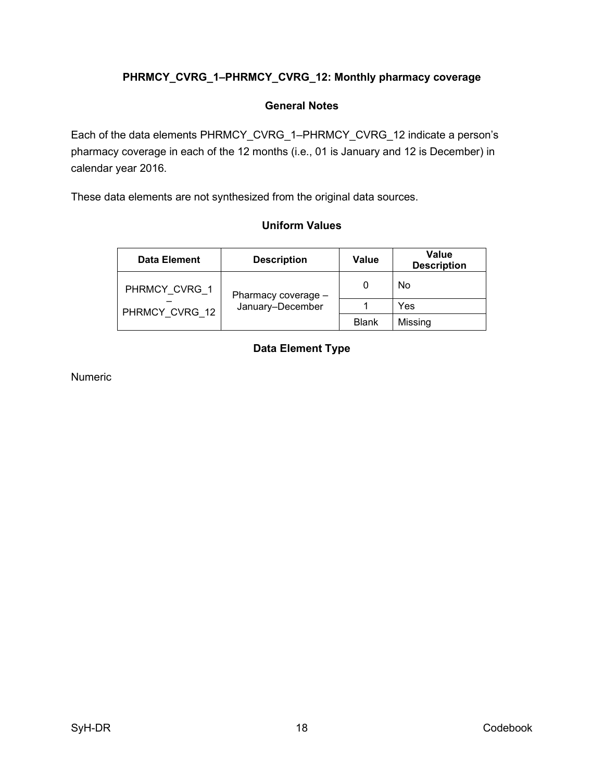# <span id="page-25-0"></span>**PHRMCY\_CVRG\_1–PHRMCY\_CVRG\_12: Monthly pharmacy coverage**

### **General Notes**

<span id="page-25-1"></span>Each of the data elements PHRMCY\_CVRG\_1–PHRMCY\_CVRG\_12 indicate a person's pharmacy coverage in each of the 12 months (i.e., 01 is January and 12 is December) in calendar year 2016.

<span id="page-25-2"></span>These data elements are not synthesized from the original data sources.

### **Uniform Values**

<span id="page-25-3"></span>

| <b>Data Element</b> | <b>Description</b>  | <b>Value</b> | Value<br><b>Description</b> |
|---------------------|---------------------|--------------|-----------------------------|
| PHRMCY CVRG 1       | Pharmacy coverage - | 0            | No                          |
| PHRMCY CVRG 12      | January-December    |              | Yes                         |
|                     |                     | <b>Blank</b> | Missing                     |

# **Data Element Type**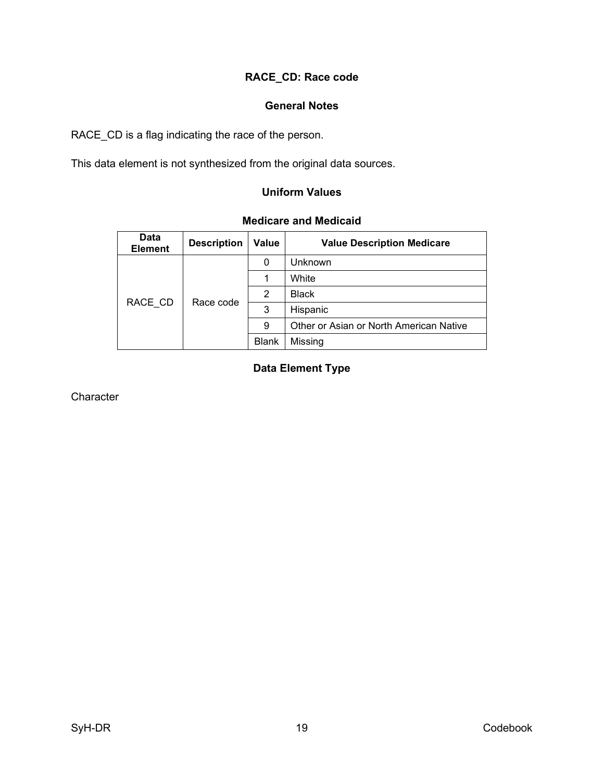# **RACE\_CD: Race code**

#### **General Notes**

<span id="page-26-1"></span><span id="page-26-0"></span>RACE\_CD is a flag indicating the race of the person.

<span id="page-26-2"></span>This data element is not synthesized from the original data sources.

### **Uniform Values**

#### **Medicare and Medicaid**

<span id="page-26-3"></span>

| <b>Data</b><br><b>Element</b> | <b>Description</b> | <b>Value</b> | <b>Value Description Medicare</b>       |
|-------------------------------|--------------------|--------------|-----------------------------------------|
| RACE CD                       | Race code          | 0            | Unknown                                 |
|                               |                    |              | White                                   |
|                               |                    | 2            | <b>Black</b>                            |
|                               |                    | 3            | Hispanic                                |
|                               |                    | 9            | Other or Asian or North American Native |
|                               |                    | <b>Blank</b> | Missing                                 |

# **Data Element Type**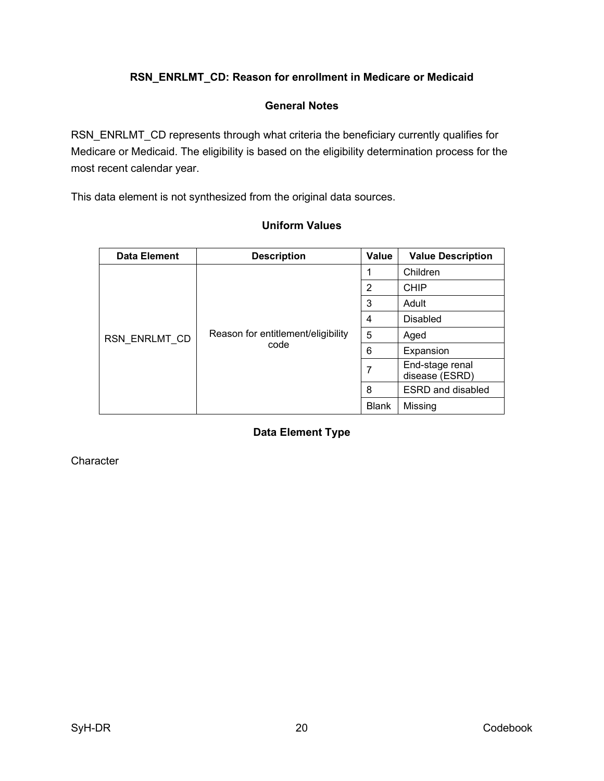# **RSN\_ENRLMT\_CD: Reason for enrollment in Medicare or Medicaid**

### **General Notes**

<span id="page-27-1"></span><span id="page-27-0"></span>RSN\_ENRLMT\_CD represents through what criteria the beneficiary currently qualifies for Medicare or Medicaid. The eligibility is based on the eligibility determination process for the most recent calendar year.

<span id="page-27-2"></span>This data element is not synthesized from the original data sources.

<span id="page-27-3"></span>

| <b>Data Element</b> | <b>Description</b>                         | Value          | <b>Value Description</b>          |
|---------------------|--------------------------------------------|----------------|-----------------------------------|
| RSN ENRLMT CD       |                                            |                | Children                          |
|                     |                                            | $\overline{2}$ | <b>CHIP</b>                       |
|                     |                                            | 3              | Adult                             |
|                     | Reason for entitlement/eligibility<br>code | 4              | <b>Disabled</b>                   |
|                     |                                            | 5              | Aged                              |
|                     |                                            | 6              | Expansion                         |
|                     |                                            | 7              | End-stage renal<br>disease (ESRD) |
|                     |                                            | 8              | <b>ESRD</b> and disabled          |
|                     |                                            | <b>Blank</b>   | Missing                           |

#### **Uniform Values**

**Data Element Type**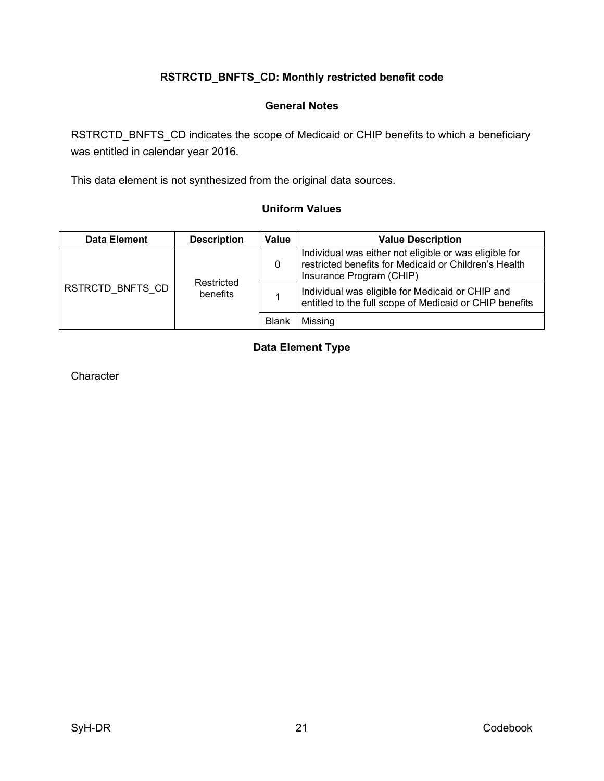# **RSTRCTD\_BNFTS\_CD: Monthly restricted benefit code**

### **General Notes**

<span id="page-28-1"></span><span id="page-28-0"></span>RSTRCTD\_BNFTS\_CD indicates the scope of Medicaid or CHIP benefits to which a beneficiary was entitled in calendar year 2016.

<span id="page-28-2"></span>This data element is not synthesized from the original data sources.

### **Uniform Values**

<span id="page-28-3"></span>

| <b>Data Element</b> | <b>Description</b>     | Value        | <b>Value Description</b>                                                                                                                    |
|---------------------|------------------------|--------------|---------------------------------------------------------------------------------------------------------------------------------------------|
| RSTRCTD BNFTS CD    | Restricted<br>benefits | 0            | Individual was either not eligible or was eligible for<br>restricted benefits for Medicaid or Children's Health<br>Insurance Program (CHIP) |
|                     |                        |              | Individual was eligible for Medicaid or CHIP and<br>entitled to the full scope of Medicaid or CHIP benefits                                 |
|                     |                        | <b>Blank</b> | Missing                                                                                                                                     |

# **Data Element Type**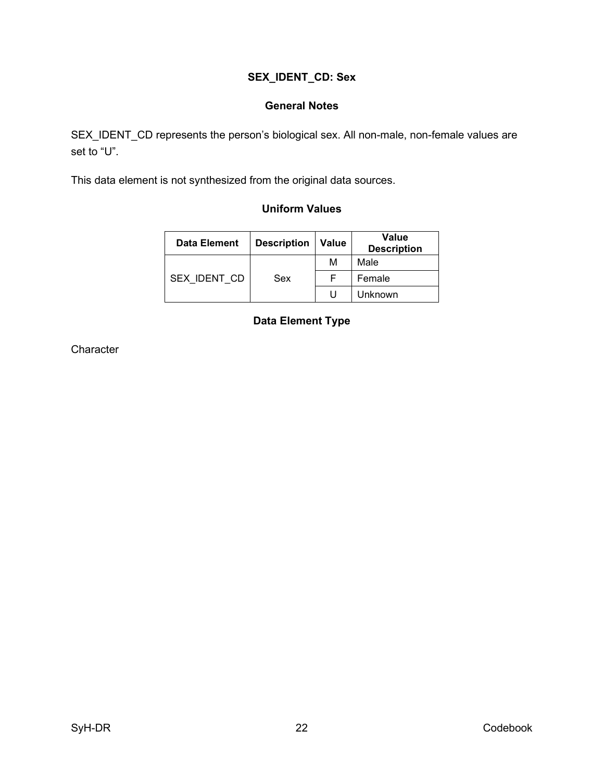# **SEX\_IDENT\_CD: Sex**

### **General Notes**

<span id="page-29-1"></span><span id="page-29-0"></span>SEX\_IDENT\_CD represents the person's biological sex. All non-male, non-female values are set to "U".

<span id="page-29-2"></span>This data element is not synthesized from the original data sources.

### **Uniform Values**

<span id="page-29-3"></span>

| <b>Data Element</b> | <b>Description</b> | <b>Value</b> | <b>Value</b><br><b>Description</b> |
|---------------------|--------------------|--------------|------------------------------------|
|                     |                    | м            | Male                               |
| SEX IDENT CD        | Sex                |              | Female                             |
|                     |                    | U            | <b>Unknown</b>                     |

### **Data Element Type**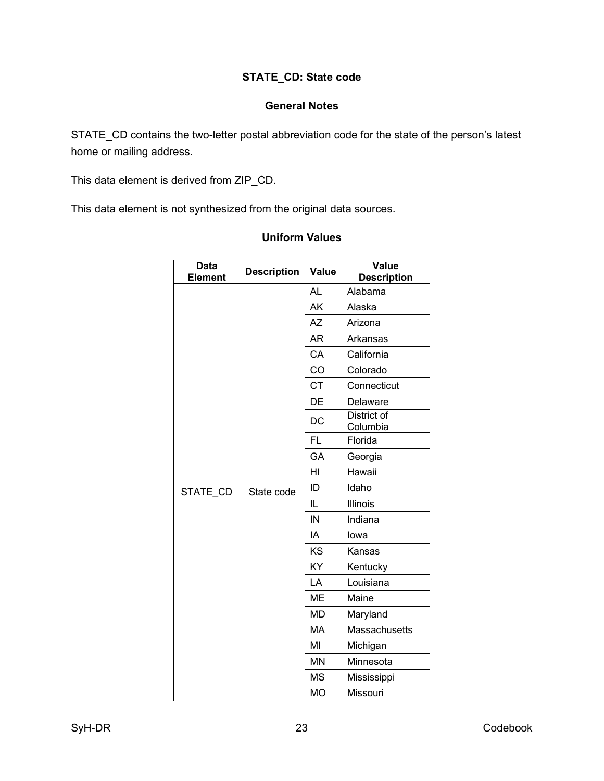# **STATE\_CD: State code**

#### **General Notes**

<span id="page-30-1"></span><span id="page-30-0"></span>STATE\_CD contains the two-letter postal abbreviation code for the state of the person's latest home or mailing address.

This data element is derived from ZIP\_CD.

<span id="page-30-2"></span>This data element is not synthesized from the original data sources.

| <b>Data</b><br><b>Element</b> | <b>Description</b> | Value     | Value<br><b>Description</b>    |
|-------------------------------|--------------------|-----------|--------------------------------|
|                               |                    | <b>AL</b> | Alabama                        |
|                               |                    | <b>AK</b> | Alaska                         |
|                               |                    | AΖ        | Arizona                        |
|                               |                    | <b>AR</b> | Arkansas                       |
|                               |                    | CA        | California                     |
|                               |                    | CO        | Colorado                       |
|                               |                    | <b>CT</b> | Connecticut                    |
|                               |                    | DE        | Delaware                       |
|                               | State code         | DC        | <b>District of</b><br>Columbia |
|                               |                    | <b>FL</b> | Florida                        |
|                               |                    | GA        | Georgia                        |
|                               |                    | HI        | Hawaii                         |
| STATE_CD                      |                    | ID        | Idaho                          |
|                               |                    | IL        | Illinois                       |
|                               |                    | IN        | Indiana                        |
|                               |                    | IA        | lowa                           |
|                               |                    | KS        | Kansas                         |
|                               |                    | KY        | Kentucky                       |
|                               |                    | LA        | Louisiana                      |
|                               |                    | <b>ME</b> | Maine                          |
|                               |                    | <b>MD</b> | Maryland                       |
|                               |                    | MA        | Massachusetts                  |
|                               |                    | MI        | Michigan                       |
|                               |                    | <b>MN</b> | Minnesota                      |
|                               |                    | MS        | Mississippi                    |
|                               |                    | <b>MO</b> | Missouri                       |

### **Uniform Values**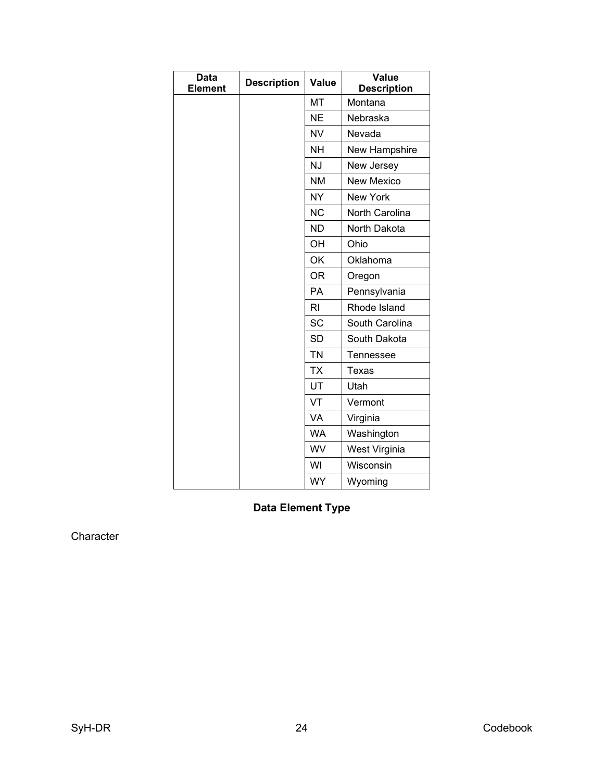| <b>Data</b><br><b>Element</b> | <b>Description</b> | Value     | Value<br><b>Description</b> |
|-------------------------------|--------------------|-----------|-----------------------------|
|                               |                    | MT        | Montana                     |
|                               |                    | <b>NE</b> | Nebraska                    |
|                               |                    | <b>NV</b> | Nevada                      |
|                               |                    | NΗ        | New Hampshire               |
|                               |                    | <b>NJ</b> | New Jersey                  |
|                               |                    | <b>NM</b> | <b>New Mexico</b>           |
|                               |                    | <b>NY</b> | New York                    |
|                               |                    | <b>NC</b> | North Carolina              |
|                               |                    | <b>ND</b> | North Dakota                |
|                               |                    | OH        | Ohio                        |
|                               |                    | OK        | Oklahoma                    |
|                               |                    | <b>OR</b> | Oregon                      |
|                               |                    | <b>PA</b> | Pennsylvania                |
|                               |                    | <b>RI</b> | Rhode Island                |
|                               |                    | SC        | South Carolina              |
|                               |                    | <b>SD</b> | South Dakota                |
|                               |                    | <b>TN</b> | Tennessee                   |
|                               |                    | <b>TX</b> | Texas                       |
|                               |                    | UT        | Utah                        |
|                               |                    | VT        | Vermont                     |
|                               |                    | VA        | Virginia                    |
|                               |                    | <b>WA</b> | Washington                  |
|                               |                    | WV        | West Virginia               |
|                               |                    | WI        | Wisconsin                   |
|                               |                    | <b>WY</b> | Wyoming                     |

<span id="page-31-0"></span>**Data Element Type**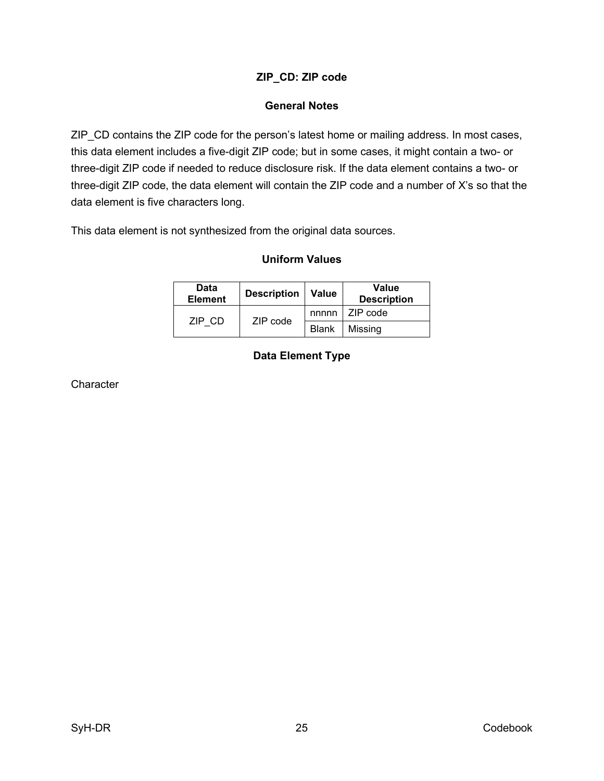# **ZIP\_CD: ZIP code**

### **General Notes**

<span id="page-32-1"></span><span id="page-32-0"></span>ZIP\_CD contains the ZIP code for the person's latest home or mailing address. In most cases, this data element includes a five-digit ZIP code; but in some cases, it might contain a two- or three-digit ZIP code if needed to reduce disclosure risk. If the data element contains a two- or three-digit ZIP code, the data element will contain the ZIP code and a number of X's so that the data element is five characters long.

<span id="page-32-3"></span><span id="page-32-2"></span>This data element is not synthesized from the original data sources.

#### **Uniform Values**

| Data<br><b>Element</b> | Description   Value |              | Value<br><b>Description</b> |
|------------------------|---------------------|--------------|-----------------------------|
| ZIP CD                 | ZIP code            |              | nnnn   ZIP code             |
|                        |                     | <b>Blank</b> | Missina                     |

# **Data Element Type**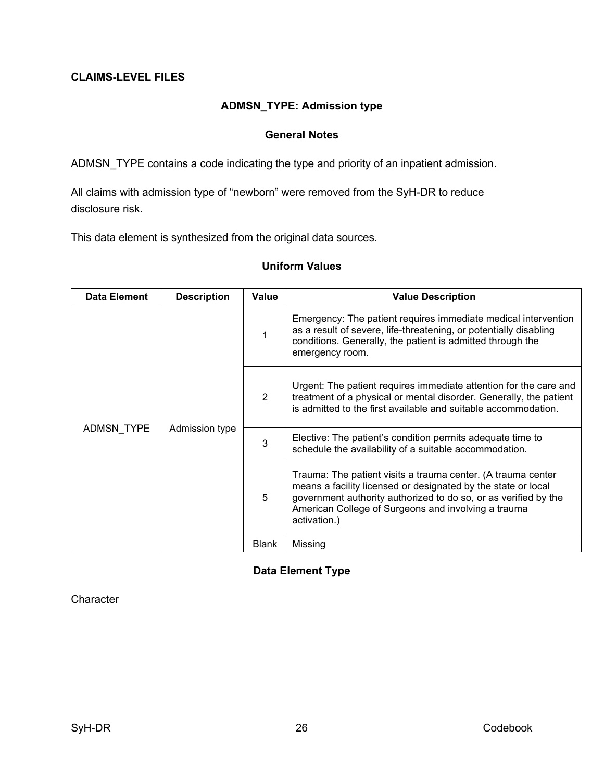### <span id="page-33-1"></span><span id="page-33-0"></span>**CLAIMS-LEVEL FILES**

### **ADMSN\_TYPE: Admission type**

#### **General Notes**

<span id="page-33-2"></span>ADMSN\_TYPE contains a code indicating the type and priority of an inpatient admission.

All claims with admission type of "newborn" were removed from the SyH-DR to reduce disclosure risk.

<span id="page-33-3"></span>This data element is synthesized from the original data sources.

#### **Uniform Values**

| Data Element | <b>Description</b> | Value        | <b>Value Description</b>                                                                                                                                                                                                                                                |                                                                                                                                                                                                                      |
|--------------|--------------------|--------------|-------------------------------------------------------------------------------------------------------------------------------------------------------------------------------------------------------------------------------------------------------------------------|----------------------------------------------------------------------------------------------------------------------------------------------------------------------------------------------------------------------|
| ADMSN TYPE   | Admission type     |              |                                                                                                                                                                                                                                                                         | Emergency: The patient requires immediate medical intervention<br>as a result of severe, life-threatening, or potentially disabling<br>conditions. Generally, the patient is admitted through the<br>emergency room. |
|              |                    | 2            | Urgent: The patient requires immediate attention for the care and<br>treatment of a physical or mental disorder. Generally, the patient<br>is admitted to the first available and suitable accommodation.                                                               |                                                                                                                                                                                                                      |
|              |                    | 3            | Elective: The patient's condition permits adequate time to<br>schedule the availability of a suitable accommodation.                                                                                                                                                    |                                                                                                                                                                                                                      |
|              |                    | 5            | Trauma: The patient visits a trauma center. (A trauma center<br>means a facility licensed or designated by the state or local<br>government authority authorized to do so, or as verified by the<br>American College of Surgeons and involving a trauma<br>activation.) |                                                                                                                                                                                                                      |
|              |                    | <b>Blank</b> | Missing                                                                                                                                                                                                                                                                 |                                                                                                                                                                                                                      |

### <span id="page-33-4"></span>**Data Element Type**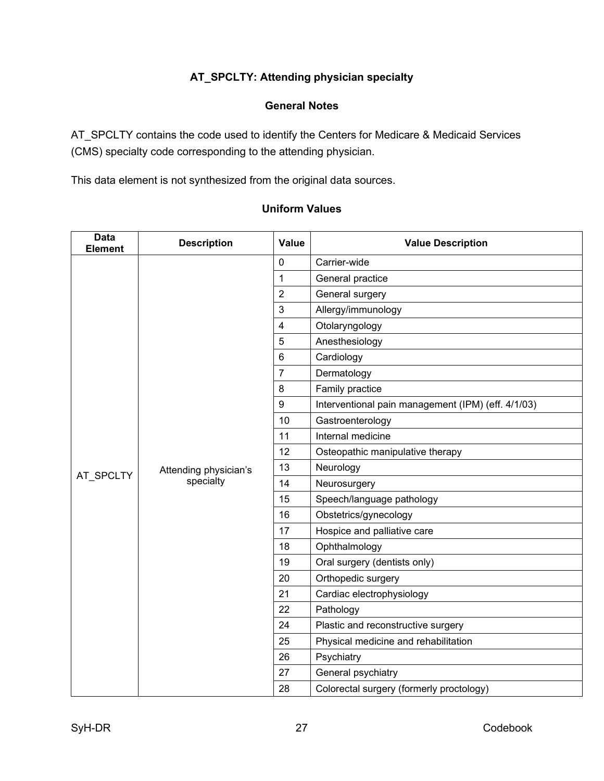# **AT\_SPCLTY: Attending physician specialty**

#### **General Notes**

<span id="page-34-1"></span><span id="page-34-0"></span>AT\_SPCLTY contains the code used to identify the Centers for Medicare & Medicaid Services (CMS) specialty code corresponding to the attending physician.

<span id="page-34-2"></span>This data element is not synthesized from the original data sources.

### **Uniform Values**

| <b>Data</b><br><b>Element</b> | <b>Description</b>                 | Value                   | <b>Value Description</b>                           |
|-------------------------------|------------------------------------|-------------------------|----------------------------------------------------|
|                               |                                    | $\mathbf 0$             | Carrier-wide                                       |
|                               |                                    | $\mathbf{1}$            | General practice                                   |
|                               |                                    | $\overline{2}$          | General surgery                                    |
|                               |                                    | 3                       | Allergy/immunology                                 |
|                               |                                    | $\overline{\mathbf{4}}$ | Otolaryngology                                     |
|                               |                                    | 5                       | Anesthesiology                                     |
|                               |                                    | 6                       | Cardiology                                         |
|                               |                                    | $\overline{7}$          | Dermatology                                        |
|                               |                                    | 8                       | Family practice                                    |
|                               |                                    | 9                       | Interventional pain management (IPM) (eff. 4/1/03) |
|                               | Attending physician's<br>specialty | 10                      | Gastroenterology                                   |
|                               |                                    | 11                      | Internal medicine                                  |
|                               |                                    | 12                      | Osteopathic manipulative therapy                   |
| AT SPCLTY                     |                                    | 13                      | Neurology                                          |
|                               |                                    | 14                      | Neurosurgery                                       |
|                               |                                    | 15                      | Speech/language pathology                          |
|                               |                                    | 16                      | Obstetrics/gynecology                              |
|                               |                                    | 17                      | Hospice and palliative care                        |
|                               |                                    | 18                      | Ophthalmology                                      |
|                               |                                    | 19                      | Oral surgery (dentists only)                       |
|                               |                                    | 20                      | Orthopedic surgery                                 |
|                               |                                    | 21                      | Cardiac electrophysiology                          |
|                               |                                    | 22                      | Pathology                                          |
|                               |                                    | 24                      | Plastic and reconstructive surgery                 |
|                               |                                    | 25                      | Physical medicine and rehabilitation               |
|                               |                                    | 26                      | Psychiatry                                         |
|                               |                                    | 27                      | General psychiatry                                 |
|                               |                                    | 28                      | Colorectal surgery (formerly proctology)           |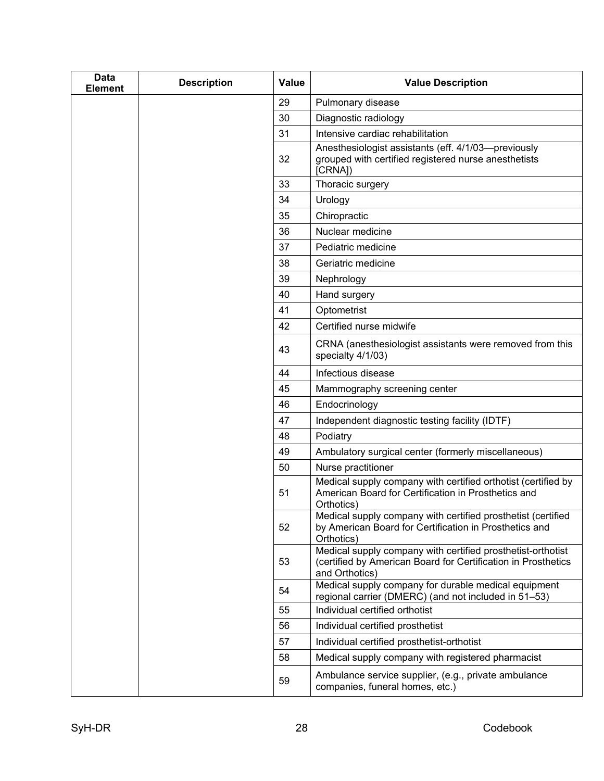| <b>Data</b><br><b>Element</b> | <b>Description</b> | <b>Value</b> | <b>Value Description</b>                                                                                                                       |
|-------------------------------|--------------------|--------------|------------------------------------------------------------------------------------------------------------------------------------------------|
|                               |                    | 29           | Pulmonary disease                                                                                                                              |
|                               |                    | 30           | Diagnostic radiology                                                                                                                           |
|                               |                    | 31           | Intensive cardiac rehabilitation                                                                                                               |
|                               |                    | 32           | Anesthesiologist assistants (eff. 4/1/03-previously<br>grouped with certified registered nurse anesthetists<br>[CRNA])                         |
|                               |                    | 33           | Thoracic surgery                                                                                                                               |
|                               |                    | 34           | Urology                                                                                                                                        |
|                               |                    | 35           | Chiropractic                                                                                                                                   |
|                               |                    | 36           | Nuclear medicine                                                                                                                               |
|                               |                    | 37           | Pediatric medicine                                                                                                                             |
|                               |                    | 38           | Geriatric medicine                                                                                                                             |
|                               |                    | 39           | Nephrology                                                                                                                                     |
|                               |                    | 40           | Hand surgery                                                                                                                                   |
|                               |                    | 41           | Optometrist                                                                                                                                    |
|                               |                    | 42           | Certified nurse midwife                                                                                                                        |
|                               |                    | 43           | CRNA (anesthesiologist assistants were removed from this<br>specialty 4/1/03)                                                                  |
|                               |                    | 44           | Infectious disease                                                                                                                             |
|                               |                    | 45           | Mammography screening center                                                                                                                   |
|                               |                    | 46           | Endocrinology                                                                                                                                  |
|                               |                    | 47           | Independent diagnostic testing facility (IDTF)                                                                                                 |
|                               |                    | 48           | Podiatry                                                                                                                                       |
|                               |                    | 49           | Ambulatory surgical center (formerly miscellaneous)                                                                                            |
|                               |                    | 50           | Nurse practitioner                                                                                                                             |
|                               |                    | 51           | Medical supply company with certified orthotist (certified by<br>American Board for Certification in Prosthetics and<br>Orthotics)             |
|                               |                    | 52           | Medical supply company with certified prosthetist (certified<br>by American Board for Certification in Prosthetics and<br>Orthotics)           |
|                               |                    | 53           | Medical supply company with certified prosthetist-orthotist<br>(certified by American Board for Certification in Prosthetics<br>and Orthotics) |
|                               |                    | 54           | Medical supply company for durable medical equipment<br>regional carrier (DMERC) (and not included in 51-53)                                   |
|                               |                    | 55           | Individual certified orthotist                                                                                                                 |
|                               |                    | 56           | Individual certified prosthetist                                                                                                               |
|                               |                    | 57           | Individual certified prosthetist-orthotist                                                                                                     |
|                               |                    | 58           | Medical supply company with registered pharmacist                                                                                              |
|                               |                    | 59           | Ambulance service supplier, (e.g., private ambulance<br>companies, funeral homes, etc.)                                                        |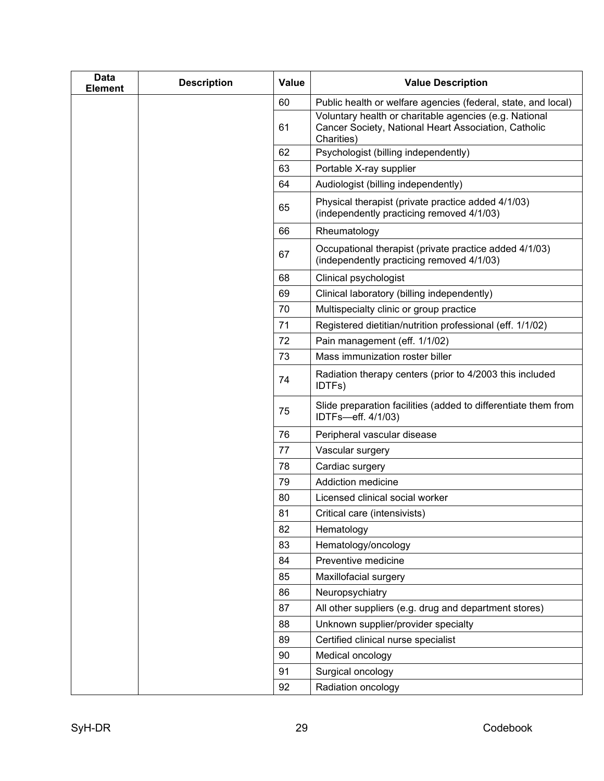| <b>Data</b><br><b>Element</b> | <b>Description</b> | <b>Value</b> | <b>Value Description</b>                                                                                                     |
|-------------------------------|--------------------|--------------|------------------------------------------------------------------------------------------------------------------------------|
|                               |                    | 60           | Public health or welfare agencies (federal, state, and local)                                                                |
|                               |                    | 61           | Voluntary health or charitable agencies (e.g. National<br>Cancer Society, National Heart Association, Catholic<br>Charities) |
|                               |                    | 62           | Psychologist (billing independently)                                                                                         |
|                               |                    | 63           | Portable X-ray supplier                                                                                                      |
|                               |                    | 64           | Audiologist (billing independently)                                                                                          |
|                               |                    | 65           | Physical therapist (private practice added 4/1/03)<br>(independently practicing removed 4/1/03)                              |
|                               |                    | 66           | Rheumatology                                                                                                                 |
|                               |                    | 67           | Occupational therapist (private practice added 4/1/03)<br>(independently practicing removed 4/1/03)                          |
|                               |                    | 68           | Clinical psychologist                                                                                                        |
|                               |                    | 69           | Clinical laboratory (billing independently)                                                                                  |
|                               |                    | 70           | Multispecialty clinic or group practice                                                                                      |
|                               |                    | 71           | Registered dietitian/nutrition professional (eff. 1/1/02)                                                                    |
|                               |                    | 72           | Pain management (eff. 1/1/02)                                                                                                |
|                               |                    | 73           | Mass immunization roster biller                                                                                              |
|                               |                    | 74           | Radiation therapy centers (prior to 4/2003 this included<br>IDTFs)                                                           |
|                               |                    | 75           | Slide preparation facilities (added to differentiate them from<br>IDTFs-eff. 4/1/03)                                         |
|                               |                    | 76           | Peripheral vascular disease                                                                                                  |
|                               |                    | 77           | Vascular surgery                                                                                                             |
|                               |                    | 78           | Cardiac surgery                                                                                                              |
|                               |                    | 79           | Addiction medicine                                                                                                           |
|                               |                    | 80           | Licensed clinical social worker                                                                                              |
|                               |                    | 81           | Critical care (intensivists)                                                                                                 |
|                               |                    | 82           | Hematology                                                                                                                   |
|                               |                    | 83           | Hematology/oncology                                                                                                          |
|                               |                    | 84           | Preventive medicine                                                                                                          |
|                               |                    | 85           | Maxillofacial surgery                                                                                                        |
|                               |                    | 86           | Neuropsychiatry                                                                                                              |
|                               |                    | 87           | All other suppliers (e.g. drug and department stores)                                                                        |
|                               |                    | 88           | Unknown supplier/provider specialty                                                                                          |
|                               |                    | 89           | Certified clinical nurse specialist                                                                                          |
|                               |                    | 90           | Medical oncology                                                                                                             |
|                               |                    | 91           | Surgical oncology                                                                                                            |
|                               |                    | 92           | Radiation oncology                                                                                                           |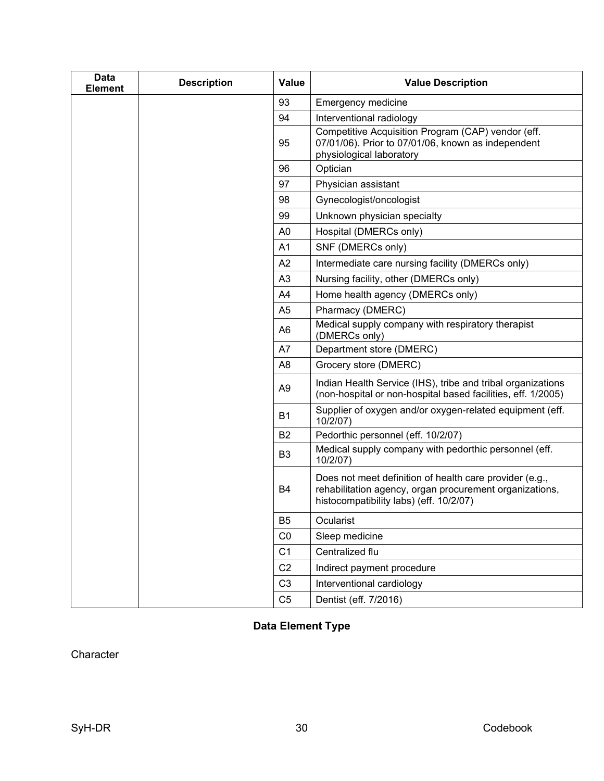| <b>Data</b><br><b>Element</b> | <b>Description</b> | <b>Value</b>   | <b>Value Description</b>                                                                                                                                      |
|-------------------------------|--------------------|----------------|---------------------------------------------------------------------------------------------------------------------------------------------------------------|
|                               |                    | 93             | <b>Emergency medicine</b>                                                                                                                                     |
|                               |                    | 94             | Interventional radiology                                                                                                                                      |
|                               |                    | 95             | Competitive Acquisition Program (CAP) vendor (eff.<br>07/01/06). Prior to 07/01/06, known as independent<br>physiological laboratory                          |
|                               |                    | 96             | Optician                                                                                                                                                      |
|                               |                    | 97             | Physician assistant                                                                                                                                           |
|                               |                    | 98             | Gynecologist/oncologist                                                                                                                                       |
|                               |                    | 99             | Unknown physician specialty                                                                                                                                   |
|                               |                    | A <sub>0</sub> | Hospital (DMERCs only)                                                                                                                                        |
|                               |                    | A <sub>1</sub> | SNF (DMERCs only)                                                                                                                                             |
|                               |                    | A2             | Intermediate care nursing facility (DMERCs only)                                                                                                              |
|                               |                    | A <sub>3</sub> | Nursing facility, other (DMERCs only)                                                                                                                         |
|                               |                    | A4             | Home health agency (DMERCs only)                                                                                                                              |
|                               |                    | A <sub>5</sub> | Pharmacy (DMERC)                                                                                                                                              |
|                               |                    | A <sub>6</sub> | Medical supply company with respiratory therapist<br>(DMERCs only)                                                                                            |
|                               |                    | A7             | Department store (DMERC)                                                                                                                                      |
|                               |                    | A <sub>8</sub> | Grocery store (DMERC)                                                                                                                                         |
|                               |                    | A <sub>9</sub> | Indian Health Service (IHS), tribe and tribal organizations<br>(non-hospital or non-hospital based facilities, eff. 1/2005)                                   |
|                               |                    | <b>B1</b>      | Supplier of oxygen and/or oxygen-related equipment (eff.<br>10/2/07)                                                                                          |
|                               |                    | <b>B2</b>      | Pedorthic personnel (eff. 10/2/07)                                                                                                                            |
|                               |                    | B <sub>3</sub> | Medical supply company with pedorthic personnel (eff.<br>10/2/07)                                                                                             |
|                               |                    | <b>B4</b>      | Does not meet definition of health care provider (e.g.,<br>rehabilitation agency, organ procurement organizations,<br>histocompatibility labs) (eff. 10/2/07) |
|                               |                    | B <sub>5</sub> | Ocularist                                                                                                                                                     |
|                               |                    | CO             | Sleep medicine                                                                                                                                                |
|                               |                    | C <sub>1</sub> | Centralized flu                                                                                                                                               |
|                               |                    | C <sub>2</sub> | Indirect payment procedure                                                                                                                                    |
|                               |                    | C <sub>3</sub> | Interventional cardiology                                                                                                                                     |
|                               |                    | C <sub>5</sub> | Dentist (eff. 7/2016)                                                                                                                                         |

# <span id="page-37-0"></span>**Data Element Type**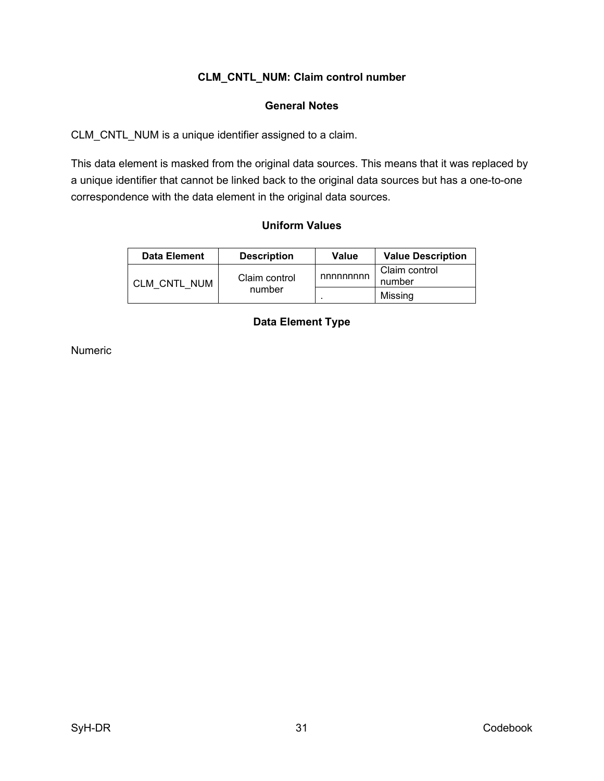# **CLM\_CNTL\_NUM: Claim control number**

#### **General Notes**

<span id="page-38-1"></span><span id="page-38-0"></span>CLM\_CNTL\_NUM is a unique identifier assigned to a claim.

<span id="page-38-2"></span>This data element is masked from the original data sources. This means that it was replaced by a unique identifier that cannot be linked back to the original data sources but has a one-to-one correspondence with the data element in the original data sources.

#### **Uniform Values**

<span id="page-38-3"></span>

| <b>Data Element</b> | <b>Description</b>      | Value    | <b>Value Description</b> |
|---------------------|-------------------------|----------|--------------------------|
| CLM CNTL NUM        | Claim control<br>number | nnnnnnnn | Claim control<br>number  |
|                     |                         |          | Missing                  |

# **Data Element Type**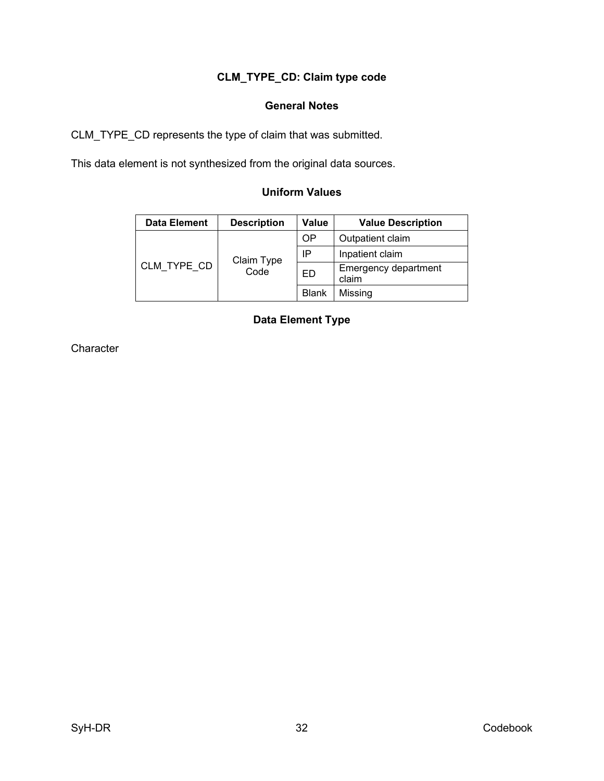# **CLM\_TYPE\_CD: Claim type code**

### **General Notes**

<span id="page-39-1"></span><span id="page-39-0"></span>CLM\_TYPE\_CD represents the type of claim that was submitted.

<span id="page-39-2"></span>This data element is not synthesized from the original data sources.

# **Uniform Values**

<span id="page-39-3"></span>

| <b>Data Element</b> | <b>Description</b> | Value        | <b>Value Description</b>      |
|---------------------|--------------------|--------------|-------------------------------|
| CLM TYPE CD         | Claim Type<br>Code | OΡ           | Outpatient claim              |
|                     |                    | IP           | Inpatient claim               |
|                     |                    | ED           | Emergency department<br>claim |
|                     |                    | <b>Blank</b> | Missing                       |

# **Data Element Type**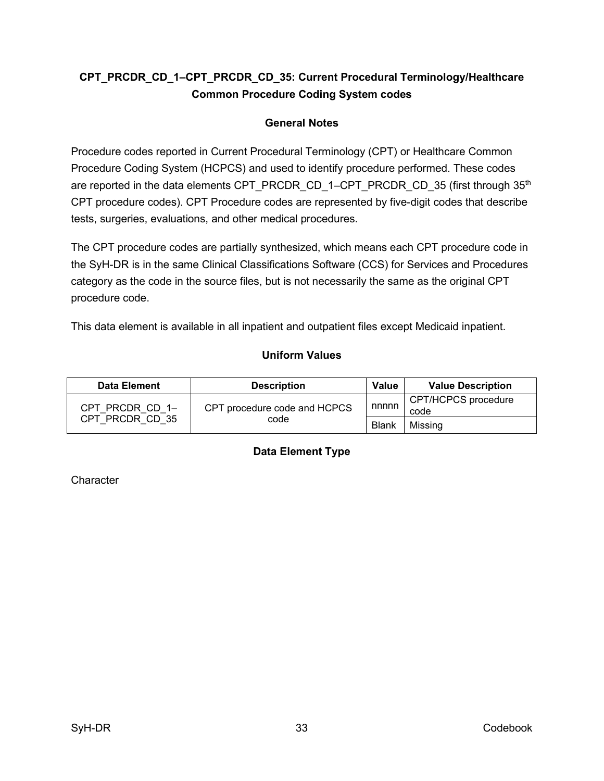# <span id="page-40-0"></span>**CPT\_PRCDR\_CD\_1–CPT\_PRCDR\_CD\_35: Current Procedural Terminology/Healthcare Common Procedure Coding System codes**

# **General Notes**

<span id="page-40-1"></span>Procedure codes reported in Current Procedural Terminology (CPT) or Healthcare Common Procedure Coding System (HCPCS) and used to identify procedure performed. These codes are reported in the data elements CPT\_PRCDR\_CD\_1–CPT\_PRCDR\_CD\_35 (first through  $35<sup>th</sup>$ CPT procedure codes). CPT Procedure codes are represented by five-digit codes that describe tests, surgeries, evaluations, and other medical procedures.

The CPT procedure codes are partially synthesized, which means each CPT procedure code in the SyH-DR is in the same Clinical Classifications Software (CCS) for Services and Procedures category as the code in the source files, but is not necessarily the same as the original CPT procedure code.

<span id="page-40-2"></span>This data element is available in all inpatient and outpatient files except Medicaid inpatient.

### **Uniform Values**

<span id="page-40-3"></span>

| <b>Data Element</b> | <b>Description</b>                   | Value        | <b>Value Description</b>    |
|---------------------|--------------------------------------|--------------|-----------------------------|
| CPT PRCDR CD 1-     | CPT procedure code and HCPCS<br>code | nnnnn        | CPT/HCPCS procedure<br>code |
| CPT PRCDR CD 35     |                                      | <b>Blank</b> | Missing                     |

### **Data Element Type**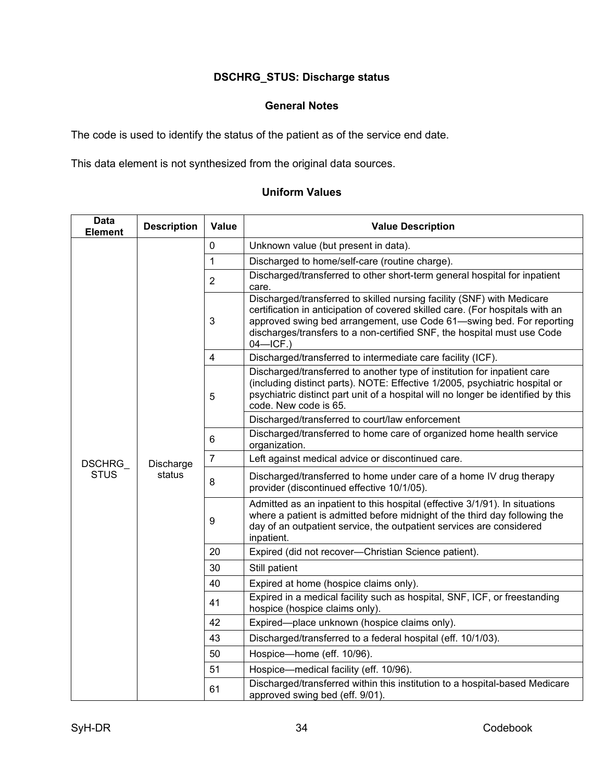# **DSCHRG\_STUS: Discharge status**

#### **General Notes**

<span id="page-41-1"></span><span id="page-41-0"></span>The code is used to identify the status of the patient as of the service end date.

<span id="page-41-2"></span>This data element is not synthesized from the original data sources.

# **Uniform Values**

| Data<br><b>Element</b> | <b>Description</b>                                                                   | Value          | <b>Value Description</b>                                                                                                                                                                                                                                                                                                  |  |
|------------------------|--------------------------------------------------------------------------------------|----------------|---------------------------------------------------------------------------------------------------------------------------------------------------------------------------------------------------------------------------------------------------------------------------------------------------------------------------|--|
|                        |                                                                                      | $\mathbf 0$    | Unknown value (but present in data).                                                                                                                                                                                                                                                                                      |  |
|                        |                                                                                      | $\mathbf 1$    | Discharged to home/self-care (routine charge).                                                                                                                                                                                                                                                                            |  |
|                        |                                                                                      |                | Discharged/transferred to other short-term general hospital for inpatient<br>care.                                                                                                                                                                                                                                        |  |
|                        |                                                                                      | 3              | Discharged/transferred to skilled nursing facility (SNF) with Medicare<br>certification in anticipation of covered skilled care. (For hospitals with an<br>approved swing bed arrangement, use Code 61-swing bed. For reporting<br>discharges/transfers to a non-certified SNF, the hospital must use Code<br>$04 - ICF.$ |  |
|                        |                                                                                      | $\overline{4}$ | Discharged/transferred to intermediate care facility (ICF).                                                                                                                                                                                                                                                               |  |
|                        |                                                                                      | 5              | Discharged/transferred to another type of institution for inpatient care<br>(including distinct parts). NOTE: Effective 1/2005, psychiatric hospital or<br>psychiatric distinct part unit of a hospital will no longer be identified by this<br>code. New code is 65.                                                     |  |
|                        | 6<br>$\overline{7}$<br><b>DSCHRG</b><br>Discharge<br><b>STUS</b><br>status<br>8<br>9 |                | Discharged/transferred to court/law enforcement                                                                                                                                                                                                                                                                           |  |
|                        |                                                                                      |                | Discharged/transferred to home care of organized home health service<br>organization.                                                                                                                                                                                                                                     |  |
|                        |                                                                                      |                | Left against medical advice or discontinued care.                                                                                                                                                                                                                                                                         |  |
|                        |                                                                                      |                | Discharged/transferred to home under care of a home IV drug therapy<br>provider (discontinued effective 10/1/05).                                                                                                                                                                                                         |  |
|                        |                                                                                      |                | Admitted as an inpatient to this hospital (effective 3/1/91). In situations<br>where a patient is admitted before midnight of the third day following the<br>day of an outpatient service, the outpatient services are considered<br>inpatient.                                                                           |  |
|                        |                                                                                      | 20             | Expired (did not recover--Christian Science patient).                                                                                                                                                                                                                                                                     |  |
|                        |                                                                                      | 30             | Still patient                                                                                                                                                                                                                                                                                                             |  |
|                        |                                                                                      | 40             | Expired at home (hospice claims only).                                                                                                                                                                                                                                                                                    |  |
|                        | 41<br>42<br>43                                                                       |                | Expired in a medical facility such as hospital, SNF, ICF, or freestanding<br>hospice (hospice claims only).                                                                                                                                                                                                               |  |
|                        |                                                                                      |                | Expired-place unknown (hospice claims only).                                                                                                                                                                                                                                                                              |  |
|                        |                                                                                      |                | Discharged/transferred to a federal hospital (eff. 10/1/03).                                                                                                                                                                                                                                                              |  |
|                        |                                                                                      | 50             | Hospice-home (eff. 10/96).                                                                                                                                                                                                                                                                                                |  |
|                        |                                                                                      | 51             | Hospice-medical facility (eff. 10/96).                                                                                                                                                                                                                                                                                    |  |
|                        |                                                                                      | 61             | Discharged/transferred within this institution to a hospital-based Medicare<br>approved swing bed (eff. 9/01).                                                                                                                                                                                                            |  |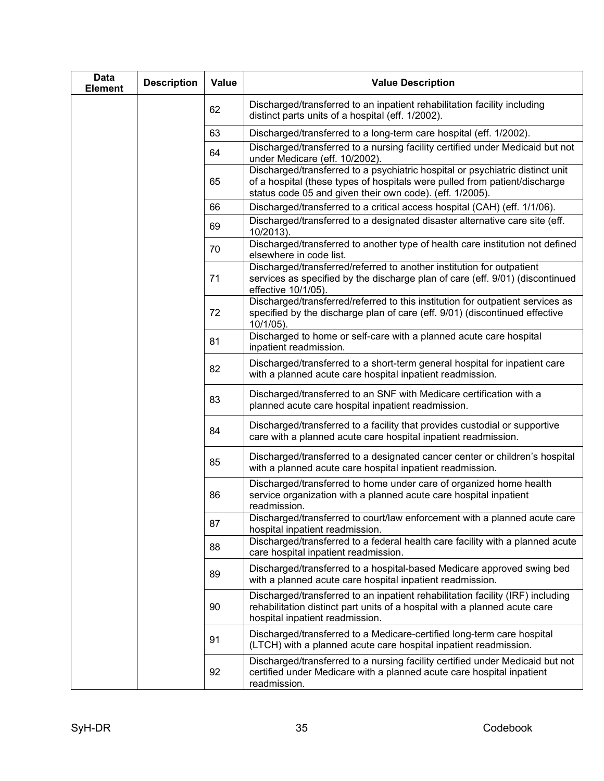| Data<br><b>Element</b> | <b>Description</b> | <b>Value</b> | <b>Value Description</b>                                                                                                                                                                                                |
|------------------------|--------------------|--------------|-------------------------------------------------------------------------------------------------------------------------------------------------------------------------------------------------------------------------|
|                        |                    | 62           | Discharged/transferred to an inpatient rehabilitation facility including<br>distinct parts units of a hospital (eff. 1/2002).                                                                                           |
|                        |                    | 63           | Discharged/transferred to a long-term care hospital (eff. 1/2002).                                                                                                                                                      |
|                        |                    | 64           | Discharged/transferred to a nursing facility certified under Medicaid but not<br>under Medicare (eff. 10/2002).                                                                                                         |
|                        |                    | 65           | Discharged/transferred to a psychiatric hospital or psychiatric distinct unit<br>of a hospital (these types of hospitals were pulled from patient/discharge<br>status code 05 and given their own code). (eff. 1/2005). |
|                        |                    | 66           | Discharged/transferred to a critical access hospital (CAH) (eff. 1/1/06).                                                                                                                                               |
|                        |                    | 69           | Discharged/transferred to a designated disaster alternative care site (eff.<br>10/2013).                                                                                                                                |
|                        |                    | 70           | Discharged/transferred to another type of health care institution not defined<br>elsewhere in code list.                                                                                                                |
|                        |                    | 71           | Discharged/transferred/referred to another institution for outpatient<br>services as specified by the discharge plan of care (eff. 9/01) (discontinued<br>effective 10/1/05).                                           |
|                        |                    | 72           | Discharged/transferred/referred to this institution for outpatient services as<br>specified by the discharge plan of care (eff. 9/01) (discontinued effective<br>10/1/05).                                              |
|                        |                    | 81           | Discharged to home or self-care with a planned acute care hospital<br>inpatient readmission.                                                                                                                            |
|                        |                    | 82           | Discharged/transferred to a short-term general hospital for inpatient care<br>with a planned acute care hospital inpatient readmission.                                                                                 |
|                        |                    | 83           | Discharged/transferred to an SNF with Medicare certification with a<br>planned acute care hospital inpatient readmission.                                                                                               |
|                        |                    | 84           | Discharged/transferred to a facility that provides custodial or supportive<br>care with a planned acute care hospital inpatient readmission.                                                                            |
|                        |                    | 85           | Discharged/transferred to a designated cancer center or children's hospital<br>with a planned acute care hospital inpatient readmission.                                                                                |
|                        |                    | 86           | Discharged/transferred to home under care of organized home health<br>service organization with a planned acute care hospital inpatient<br>readmission.                                                                 |
|                        |                    | 87           | Discharged/transferred to court/law enforcement with a planned acute care<br>hospital inpatient readmission.                                                                                                            |
|                        |                    | 88           | Discharged/transferred to a federal health care facility with a planned acute<br>care hospital inpatient readmission.                                                                                                   |
|                        |                    | 89           | Discharged/transferred to a hospital-based Medicare approved swing bed<br>with a planned acute care hospital inpatient readmission.                                                                                     |
|                        |                    | 90           | Discharged/transferred to an inpatient rehabilitation facility (IRF) including<br>rehabilitation distinct part units of a hospital with a planned acute care<br>hospital inpatient readmission.                         |
|                        |                    | 91           | Discharged/transferred to a Medicare-certified long-term care hospital<br>(LTCH) with a planned acute care hospital inpatient readmission.                                                                              |
|                        |                    | 92           | Discharged/transferred to a nursing facility certified under Medicaid but not<br>certified under Medicare with a planned acute care hospital inpatient<br>readmission.                                                  |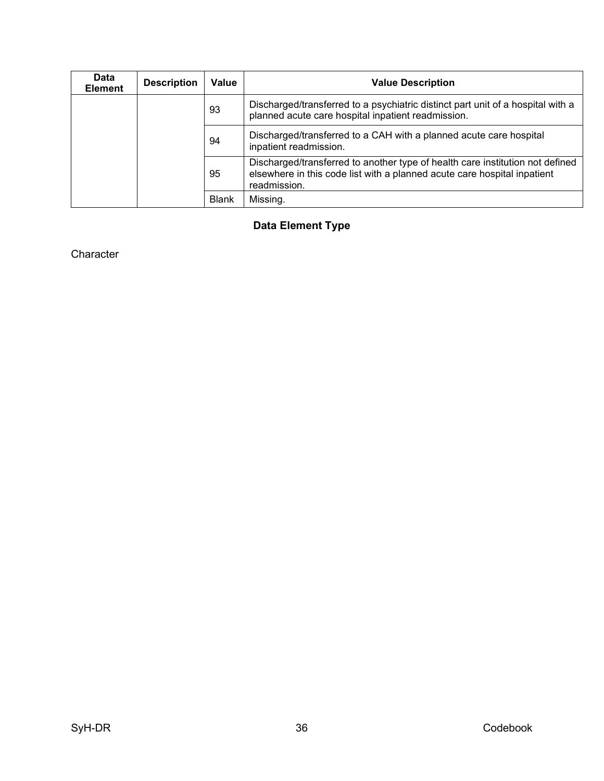<span id="page-43-0"></span>

| <b>Data</b><br><b>Element</b> | <b>Description</b> | Value        | <b>Value Description</b>                                                                                                                                                  |
|-------------------------------|--------------------|--------------|---------------------------------------------------------------------------------------------------------------------------------------------------------------------------|
|                               |                    | 93           | Discharged/transferred to a psychiatric distinct part unit of a hospital with a<br>planned acute care hospital inpatient readmission.                                     |
|                               |                    | 94           | Discharged/transferred to a CAH with a planned acute care hospital<br>inpatient readmission.                                                                              |
|                               |                    | 95           | Discharged/transferred to another type of health care institution not defined<br>elsewhere in this code list with a planned acute care hospital inpatient<br>readmission. |
|                               |                    | <b>Blank</b> | Missing.                                                                                                                                                                  |

# **Data Element Type**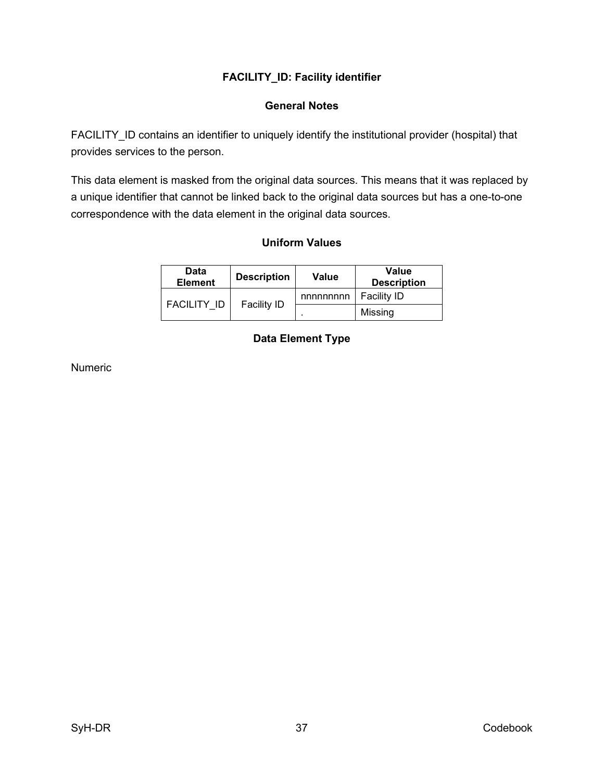# **FACILITY\_ID: Facility identifier**

### **General Notes**

<span id="page-44-1"></span><span id="page-44-0"></span>FACILITY\_ID contains an identifier to uniquely identify the institutional provider (hospital) that provides services to the person.

<span id="page-44-2"></span>This data element is masked from the original data sources. This means that it was replaced by a unique identifier that cannot be linked back to the original data sources but has a one-to-one correspondence with the data element in the original data sources.

# **Uniform Values**

<span id="page-44-3"></span>

| <b>Data</b><br><b>Element</b> | <b>Description</b> | Value                    | <b>Value</b><br><b>Description</b> |
|-------------------------------|--------------------|--------------------------|------------------------------------|
| <b>FACILITY ID</b>            | <b>Facility ID</b> | nnnnnnnn                 | <b>Facility ID</b>                 |
|                               |                    | $\overline{\phantom{a}}$ | Missing                            |

# **Data Element Type**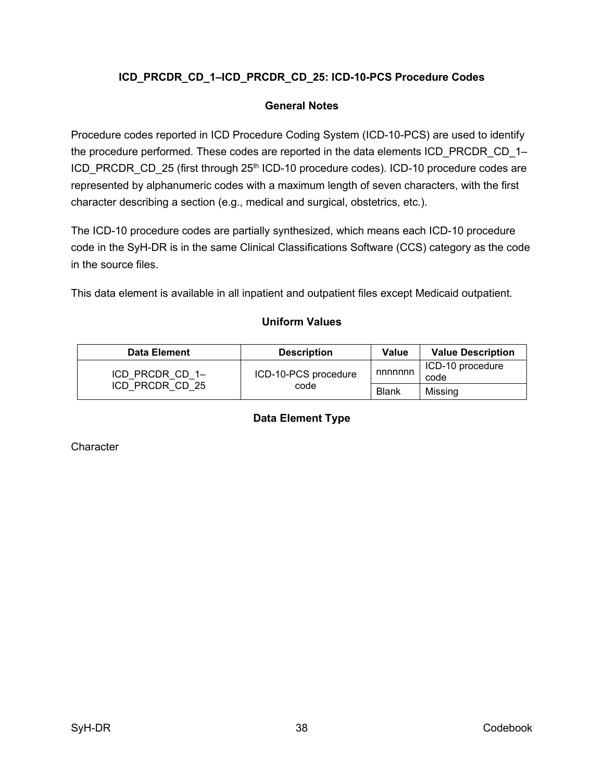# <span id="page-45-0"></span>**ICD\_PRCDR\_CD\_1–ICD\_PRCDR\_CD\_25: ICD-10-PCS Procedure Codes**

### **General Notes**

<span id="page-45-1"></span>Procedure codes reported in ICD Procedure Coding System (ICD-10-PCS) are used to identify the procedure performed. These codes are reported in the data elements ICD\_PRCDR\_CD\_1– ICD\_PRCDR\_CD\_25 (first through 25<sup>th</sup> ICD-10 procedure codes). ICD-10 procedure codes are represented by alphanumeric codes with a maximum length of seven characters, with the first character describing a section (e.g., medical and surgical, obstetrics, etc.).

The ICD-10 procedure codes are partially synthesized, which means each ICD-10 procedure code in the SyH-DR is in the same Clinical Classifications Software (CCS) category as the code in the source files.

<span id="page-45-2"></span>This data element is available in all inpatient and outpatient files except Medicaid outpatient.

### **Uniform Values**

<span id="page-45-3"></span>

| <b>Data Element</b> | <b>Description</b>   | <b>Value</b> | <b>Value Description</b> |
|---------------------|----------------------|--------------|--------------------------|
| ICD PRCDR CD 1-     | ICD-10-PCS procedure | nnnnnn       | ICD-10 procedure<br>code |
| ICD PRCDR CD 25     | code                 | Blank        | Missina                  |

### **Data Element Type**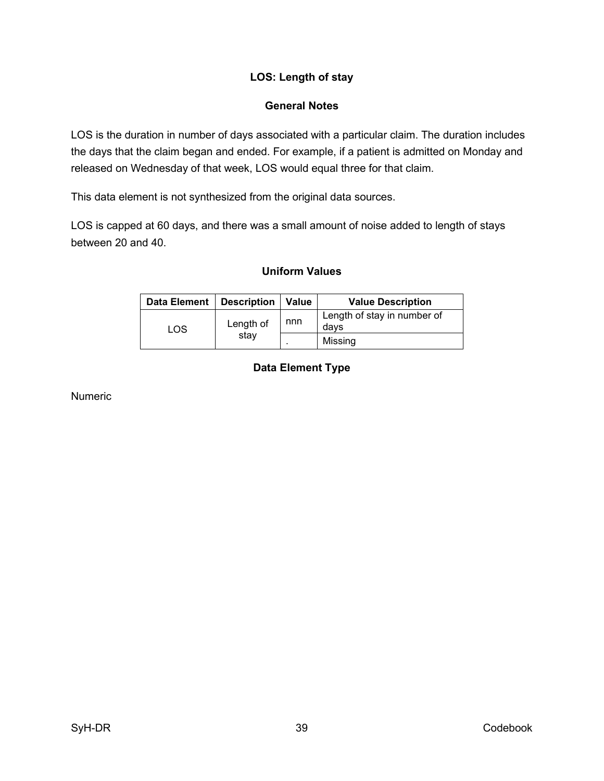# **LOS: Length of stay**

# **General Notes**

<span id="page-46-1"></span><span id="page-46-0"></span>LOS is the duration in number of days associated with a particular claim. The duration includes the days that the claim began and ended. For example, if a patient is admitted on Monday and released on Wednesday of that week, LOS would equal three for that claim.

This data element is not synthesized from the original data sources.

<span id="page-46-2"></span>LOS is capped at 60 days, and there was a small amount of noise added to length of stays between 20 and 40.

# **Uniform Values**

<span id="page-46-3"></span>

| <b>Data Element</b> | Description       | Value | <b>Value Description</b>            |  |
|---------------------|-------------------|-------|-------------------------------------|--|
| LOS                 | Length of<br>stay | nnn   | Length of stay in number of<br>davs |  |
|                     |                   |       | Missing                             |  |

# **Data Element Type**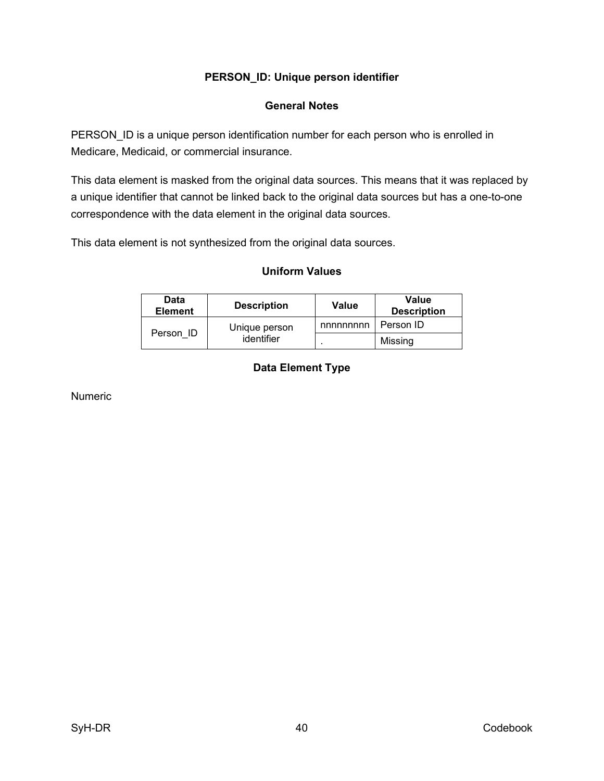## **PERSON\_ID: Unique person identifier**

### **General Notes**

<span id="page-47-1"></span><span id="page-47-0"></span>PERSON\_ID is a unique person identification number for each person who is enrolled in Medicare, Medicaid, or commercial insurance.

This data element is masked from the original data sources. This means that it was replaced by a unique identifier that cannot be linked back to the original data sources but has a one-to-one correspondence with the data element in the original data sources.

<span id="page-47-2"></span>This data element is not synthesized from the original data sources.

#### **Uniform Values**

<span id="page-47-3"></span>

| Data<br><b>Element</b> | <b>Description</b>          | Value    | <b>Value</b><br><b>Description</b> |
|------------------------|-----------------------------|----------|------------------------------------|
| Person ID              | Unique person<br>identifier | nnnnnnnn | Person ID                          |
|                        |                             |          | Missing                            |

# **Data Element Type**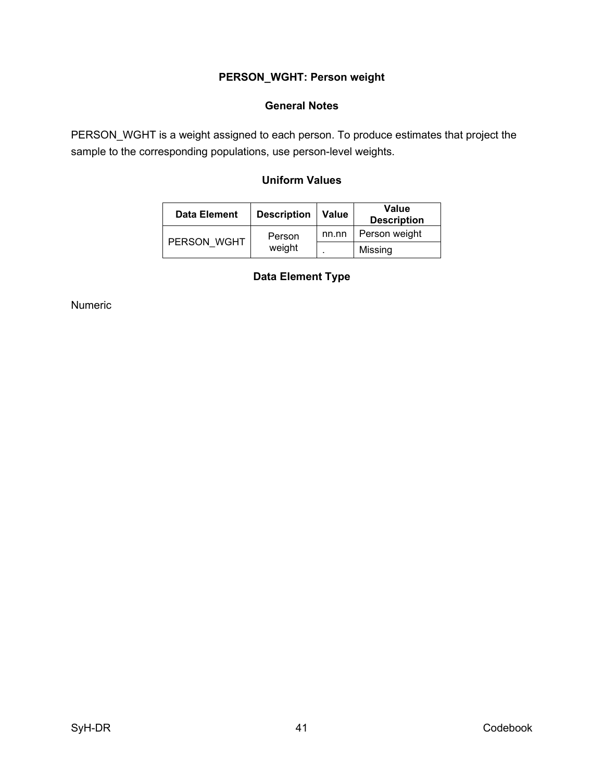# **PERSON\_WGHT: Person weight**

### **General Notes**

<span id="page-48-2"></span><span id="page-48-1"></span><span id="page-48-0"></span>PERSON\_WGHT is a weight assigned to each person. To produce estimates that project the sample to the corresponding populations, use person-level weights.

# **Uniform Values**

<span id="page-48-3"></span>

| Data Element | <b>Description</b> | <b>Value</b> | Value<br><b>Description</b> |
|--------------|--------------------|--------------|-----------------------------|
| PERSON WGHT  | Person<br>weight   | nn.nn        | Person weight               |
|              |                    |              | Missing                     |

# **Data Element Type**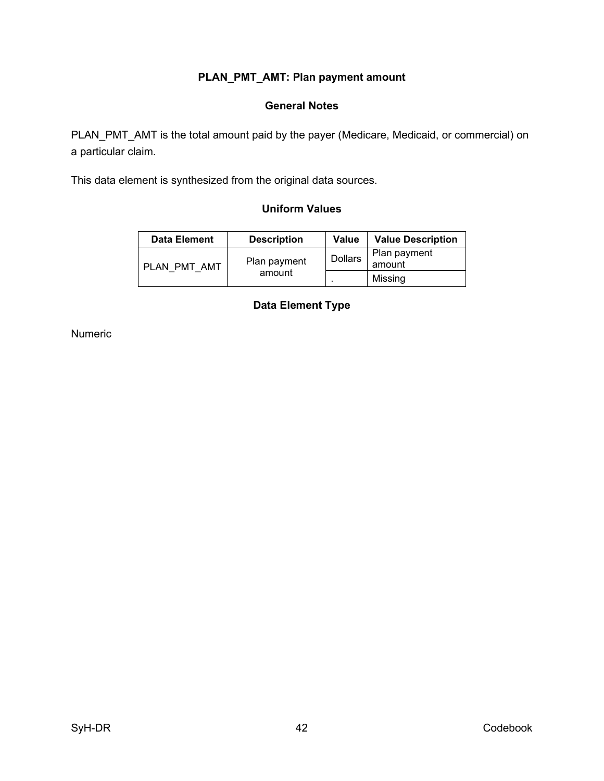# **PLAN\_PMT\_AMT: Plan payment amount**

### **General Notes**

<span id="page-49-1"></span><span id="page-49-0"></span>PLAN\_PMT\_AMT is the total amount paid by the payer (Medicare, Medicaid, or commercial) on a particular claim.

<span id="page-49-2"></span>This data element is synthesized from the original data sources.

### **Uniform Values**

<span id="page-49-3"></span>

| <b>Data Element</b> | <b>Description</b>     | Value          | <b>Value Description</b> |
|---------------------|------------------------|----------------|--------------------------|
| PLAN PMT AMT        | Plan payment<br>amount | <b>Dollars</b> | Plan payment<br>amount   |
|                     |                        |                | Missing                  |

### **Data Element Type**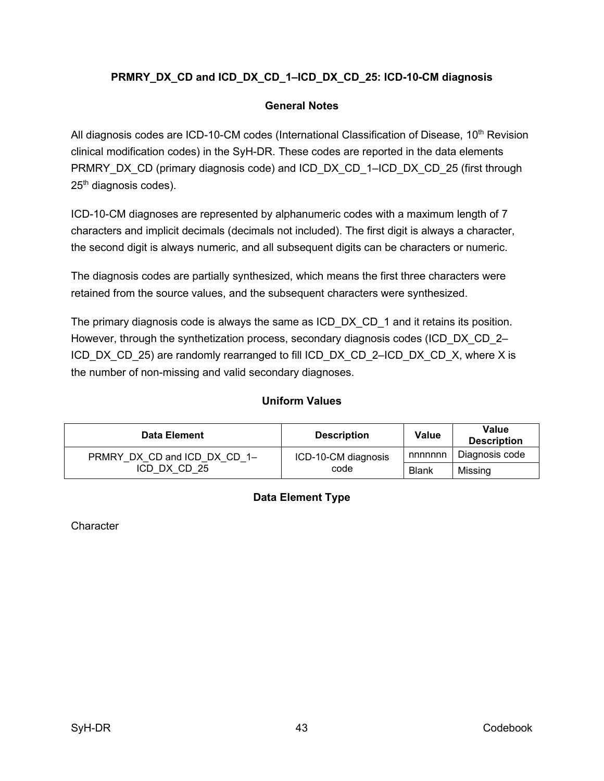# <span id="page-50-0"></span>**PRMRY\_DX\_CD and ICD\_DX\_CD\_1–ICD\_DX\_CD\_25: ICD-10-CM diagnosis**

### **General Notes**

<span id="page-50-1"></span>All diagnosis codes are ICD-10-CM codes (International Classification of Disease, 10<sup>th</sup> Revision clinical modification codes) in the SyH-DR. These codes are reported in the data elements PRMRY\_DX\_CD (primary diagnosis code) and ICD\_DX\_CD\_1–ICD\_DX\_CD\_25 (first through 25<sup>th</sup> diagnosis codes).

ICD-10-CM diagnoses are represented by alphanumeric codes with a maximum length of 7 characters and implicit decimals (decimals not included). The first digit is always a character, the second digit is always numeric, and all subsequent digits can be characters or numeric.

The diagnosis codes are partially synthesized, which means the first three characters were retained from the source values, and the subsequent characters were synthesized.

The primary diagnosis code is always the same as ICD\_DX\_CD\_1 and it retains its position. However, through the synthetization process, secondary diagnosis codes (ICD\_DX\_CD\_2– ICD\_DX\_CD\_25) are randomly rearranged to fill ICD\_DX\_CD\_2–ICD\_DX\_CD\_X, where X is the number of non-missing and valid secondary diagnoses.

### **Uniform Values**

<span id="page-50-3"></span><span id="page-50-2"></span>

| <b>Data Element</b>          | <b>Description</b>  | <b>Value</b> | <b>Value</b><br><b>Description</b> |
|------------------------------|---------------------|--------------|------------------------------------|
| PRMRY DX CD and ICD DX CD 1- | ICD-10-CM diagnosis | nnnnnn       | Diagnosis code                     |
| ICD DX CD 25                 | code                | <b>Blank</b> | Missing                            |

### **Data Element Type**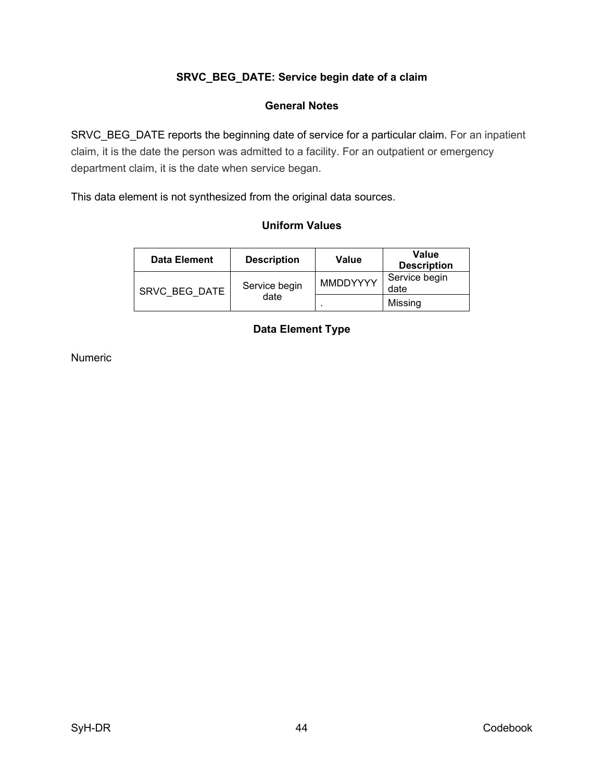# **SRVC\_BEG\_DATE: Service begin date of a claim**

### **General Notes**

<span id="page-51-1"></span><span id="page-51-0"></span>SRVC\_BEG\_DATE reports the beginning date of service for a particular claim. For an inpatient claim, it is the date the person was admitted to a facility. For an outpatient or emergency department claim, it is the date when service began.

<span id="page-51-2"></span>This data element is not synthesized from the original data sources.

### **Uniform Values**

<span id="page-51-3"></span>

| <b>Data Element</b> | <b>Description</b> | Value           | Value<br><b>Description</b> |
|---------------------|--------------------|-----------------|-----------------------------|
| SRVC BEG DATE       | Service begin      | <b>MMDDYYYY</b> | Service begin<br>date       |
|                     | date               |                 | Missing                     |

# **Data Element Type**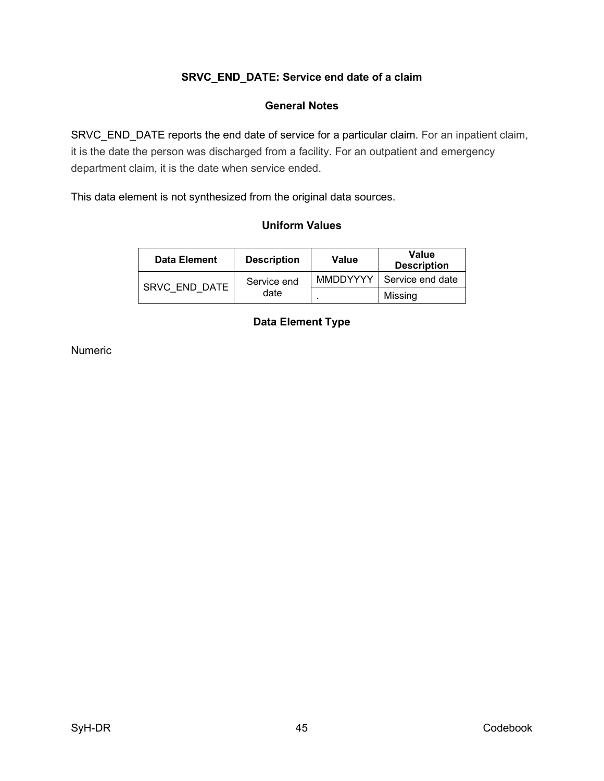# **SRVC\_END\_DATE: Service end date of a claim**

### **General Notes**

<span id="page-52-1"></span><span id="page-52-0"></span>SRVC\_END\_DATE reports the end date of service for a particular claim. For an inpatient claim, it is the date the person was discharged from a facility. For an outpatient and emergency department claim, it is the date when service ended.

<span id="page-52-2"></span>This data element is not synthesized from the original data sources.

### **Uniform Values**

<span id="page-52-3"></span>

| Data Element  | <b>Description</b> | Value           | Value<br><b>Description</b> |
|---------------|--------------------|-----------------|-----------------------------|
| SRVC END DATE | Service end        | <b>MMDDYYYY</b> | Service end date            |
|               | date               |                 | Missing                     |

# **Data Element Type**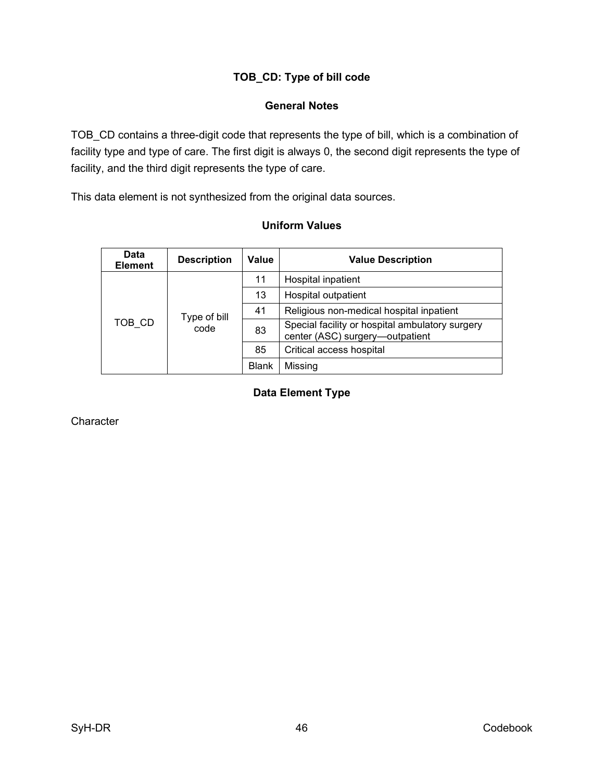# **TOB\_CD: Type of bill code**

### **General Notes**

<span id="page-53-1"></span><span id="page-53-0"></span>TOB\_CD contains a three-digit code that represents the type of bill, which is a combination of facility type and type of care. The first digit is always 0, the second digit represents the type of facility, and the third digit represents the type of care.

<span id="page-53-2"></span>This data element is not synthesized from the original data sources.

### **Uniform Values**

<span id="page-53-3"></span>

| Data<br><b>Element</b>         | <b>Description</b> | Value                                                                              | <b>Value Description</b> |
|--------------------------------|--------------------|------------------------------------------------------------------------------------|--------------------------|
|                                |                    | 11                                                                                 | Hospital inpatient       |
| Type of bill<br>TOB CD<br>code | 13                 | Hospital outpatient                                                                |                          |
|                                | 41                 | Religious non-medical hospital inpatient                                           |                          |
|                                | 83                 | Special facility or hospital ambulatory surgery<br>center (ASC) surgery-outpatient |                          |
|                                | 85                 | Critical access hospital                                                           |                          |
|                                |                    | <b>Blank</b>                                                                       | Missing                  |

# **Data Element Type**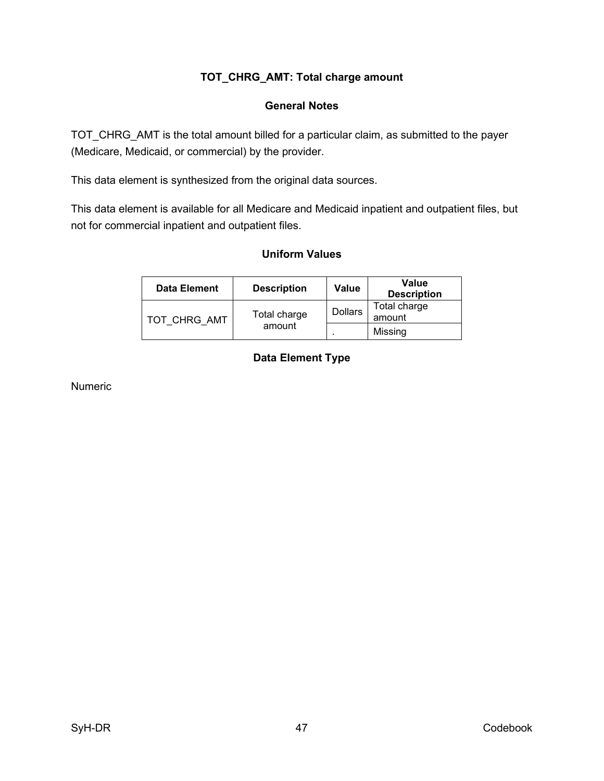# **TOT\_CHRG\_AMT: Total charge amount**

#### **General Notes**

<span id="page-54-1"></span><span id="page-54-0"></span>TOT\_CHRG\_AMT is the total amount billed for a particular claim, as submitted to the payer (Medicare, Medicaid, or commercial) by the provider.

This data element is synthesized from the original data sources.

<span id="page-54-2"></span>This data element is available for all Medicare and Medicaid inpatient and outpatient files, but not for commercial inpatient and outpatient files.

### **Uniform Values**

<span id="page-54-3"></span>

| <b>Data Element</b> | <b>Description</b>     | Value          | Value<br><b>Description</b> |
|---------------------|------------------------|----------------|-----------------------------|
| TOT CHRG AMT        | Total charge<br>amount | <b>Dollars</b> | Total charge<br>amount      |
|                     |                        |                | Missing                     |

# **Data Element Type**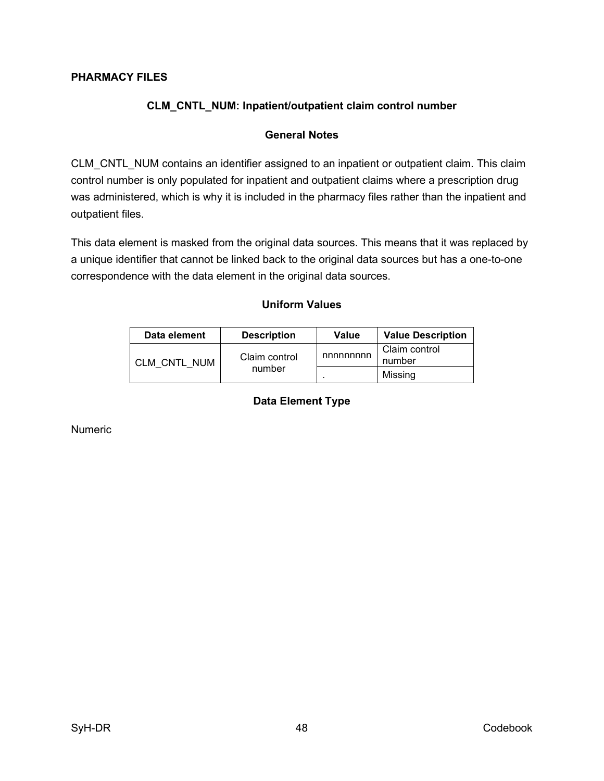### <span id="page-55-1"></span><span id="page-55-0"></span>**PHARMACY FILES**

# **CLM\_CNTL\_NUM: Inpatient/outpatient claim control number**

#### **General Notes**

<span id="page-55-2"></span>CLM\_CNTL\_NUM contains an identifier assigned to an inpatient or outpatient claim. This claim control number is only populated for inpatient and outpatient claims where a prescription drug was administered, which is why it is included in the pharmacy files rather than the inpatient and outpatient files.

<span id="page-55-3"></span>This data element is masked from the original data sources. This means that it was replaced by a unique identifier that cannot be linked back to the original data sources but has a one-to-one correspondence with the data element in the original data sources.

### **Uniform Values**

<span id="page-55-4"></span>

| Data element | <b>Description</b>      | Value    | <b>Value Description</b> |
|--------------|-------------------------|----------|--------------------------|
| CLM CNTL NUM | Claim control<br>number | nnnnnnnn | Claim control<br>number  |
|              |                         |          | Missing                  |

#### **Data Element Type**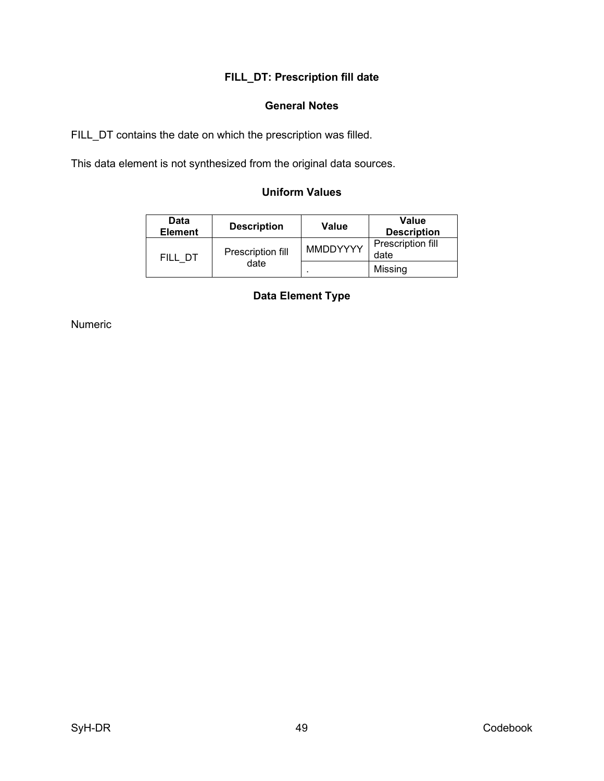# **FILL\_DT: Prescription fill date**

### **General Notes**

<span id="page-56-1"></span><span id="page-56-0"></span>FILL\_DT contains the date on which the prescription was filled.

<span id="page-56-2"></span>This data element is not synthesized from the original data sources.

# **Uniform Values**

<span id="page-56-3"></span>

| <b>Data</b><br><b>Element</b> | <b>Description</b> | Value           | Value<br><b>Description</b> |
|-------------------------------|--------------------|-----------------|-----------------------------|
| FILL DT                       | Prescription fill  | <b>MMDDYYYY</b> | Prescription fill<br>date   |
|                               | date               |                 | Missing                     |

# **Data Element Type**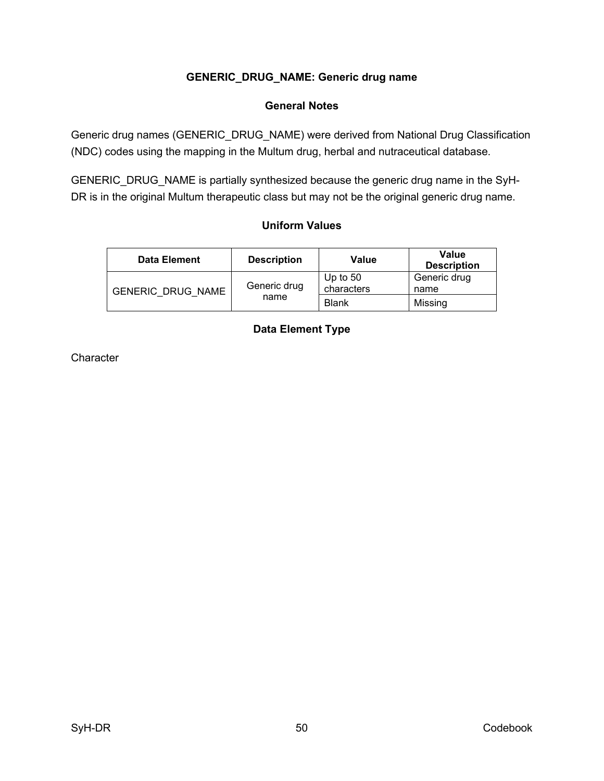## **GENERIC\_DRUG\_NAME: Generic drug name**

### **General Notes**

<span id="page-57-1"></span><span id="page-57-0"></span>Generic drug names (GENERIC\_DRUG\_NAME) were derived from National Drug Classification (NDC) codes using the mapping in the Multum drug, herbal and nutraceutical database.

<span id="page-57-2"></span>GENERIC\_DRUG\_NAME is partially synthesized because the generic drug name in the SyH-DR is in the original Multum therapeutic class but may not be the original generic drug name.

### **Uniform Values**

<span id="page-57-3"></span>

| <b>Data Element</b>      | <b>Description</b> | Value                    | Value<br><b>Description</b> |
|--------------------------|--------------------|--------------------------|-----------------------------|
| <b>GENERIC DRUG NAME</b> | Generic drug       | Up to $50$<br>characters | Generic drug<br>name        |
|                          | name               | <b>Blank</b>             | Missing                     |

# **Data Element Type**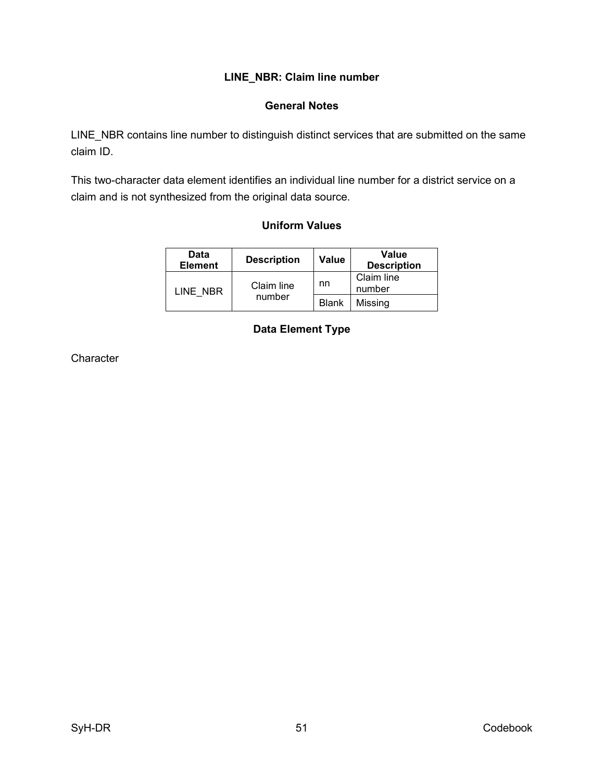### **LINE\_NBR: Claim line number**

### **General Notes**

<span id="page-58-1"></span><span id="page-58-0"></span>LINE\_NBR contains line number to distinguish distinct services that are submitted on the same claim ID.

<span id="page-58-2"></span>This two-character data element identifies an individual line number for a district service on a claim and is not synthesized from the original data source.

### **Uniform Values**

<span id="page-58-3"></span>

| Data<br><b>Element</b> | <b>Description</b> | <b>Value</b> | Value<br><b>Description</b> |
|------------------------|--------------------|--------------|-----------------------------|
| LINE NBR               | Claim line         | nn           | Claim line<br>number        |
|                        | number             | <b>Blank</b> | Missing                     |

### **Data Element Type**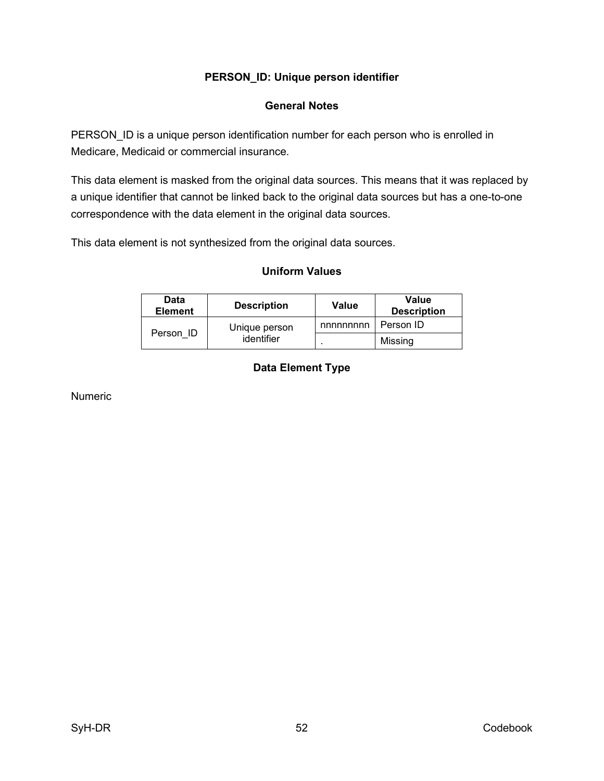## **PERSON\_ID: Unique person identifier**

### **General Notes**

<span id="page-59-1"></span><span id="page-59-0"></span>PERSON\_ID is a unique person identification number for each person who is enrolled in Medicare, Medicaid or commercial insurance.

This data element is masked from the original data sources. This means that it was replaced by a unique identifier that cannot be linked back to the original data sources but has a one-to-one correspondence with the data element in the original data sources.

<span id="page-59-2"></span>This data element is not synthesized from the original data sources.

#### **Uniform Values**

<span id="page-59-3"></span>

| Data<br><b>Element</b>  | <b>Description</b> | Value    | <b>Value</b><br><b>Description</b> |
|-------------------------|--------------------|----------|------------------------------------|
|                         | Unique person      | nnnnnnnn | Person ID                          |
| Person ID<br>identifier |                    | Missing  |                                    |

# **Data Element Type**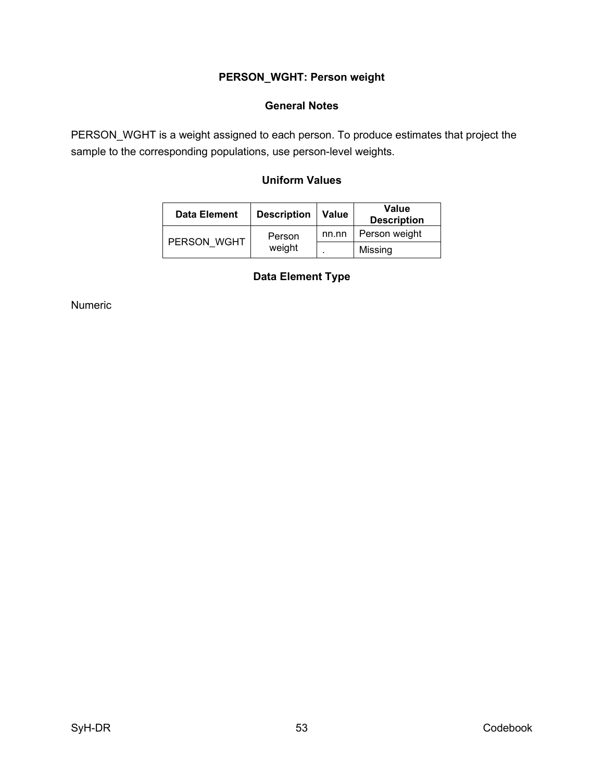# **PERSON\_WGHT: Person weight**

### **General Notes**

<span id="page-60-2"></span><span id="page-60-1"></span><span id="page-60-0"></span>PERSON\_WGHT is a weight assigned to each person. To produce estimates that project the sample to the corresponding populations, use person-level weights.

# **Uniform Values**

<span id="page-60-3"></span>

| Data Element | <b>Description</b> | <b>Value</b> | Value<br><b>Description</b> |
|--------------|--------------------|--------------|-----------------------------|
| PERSON WGHT  | Person             | nn.nn        | Person weight               |
|              | weight             |              | Missing                     |

### **Data Element Type**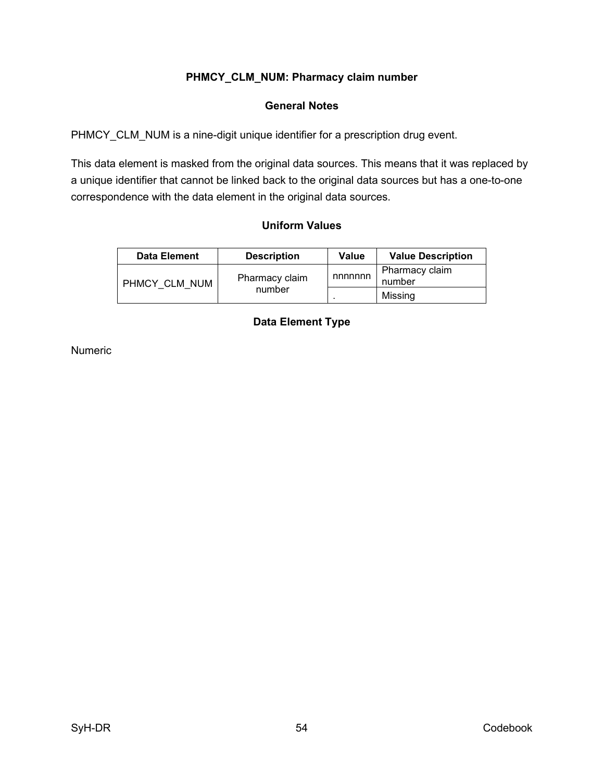### **PHMCY\_CLM\_NUM: Pharmacy claim number**

### **General Notes**

<span id="page-61-1"></span><span id="page-61-0"></span>PHMCY\_CLM\_NUM is a nine-digit unique identifier for a prescription drug event.

This data element is masked from the original data sources. This means that it was replaced by a unique identifier that cannot be linked back to the original data sources but has a one-to-one correspondence with the data element in the original data sources.

#### **Uniform Values**

<span id="page-61-3"></span><span id="page-61-2"></span>

| <b>Data Element</b>             | <b>Description</b> | Value                    | <b>Value Description</b> |
|---------------------------------|--------------------|--------------------------|--------------------------|
| Pharmacy claim<br>PHMCY CLM NUM | nnnnnn             | Pharmacy claim<br>number |                          |
|                                 | number             |                          | Missing                  |

# **Data Element Type**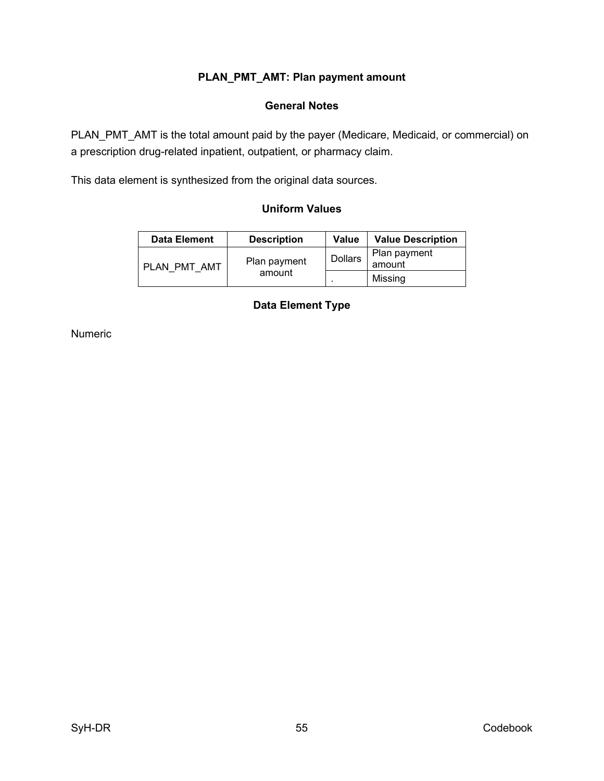# **PLAN\_PMT\_AMT: Plan payment amount**

### **General Notes**

<span id="page-62-1"></span><span id="page-62-0"></span>PLAN\_PMT\_AMT is the total amount paid by the payer (Medicare, Medicaid, or commercial) on a prescription drug-related inpatient, outpatient, or pharmacy claim.

<span id="page-62-2"></span>This data element is synthesized from the original data sources.

### **Uniform Values**

<span id="page-62-3"></span>

| <b>Data Element</b> | <b>Description</b>     | Value          | <b>Value Description</b> |
|---------------------|------------------------|----------------|--------------------------|
| PLAN PMT AMT        | Plan payment<br>amount | <b>Dollars</b> | Plan payment<br>amount   |
|                     |                        |                | Missing                  |

#### **Data Element Type**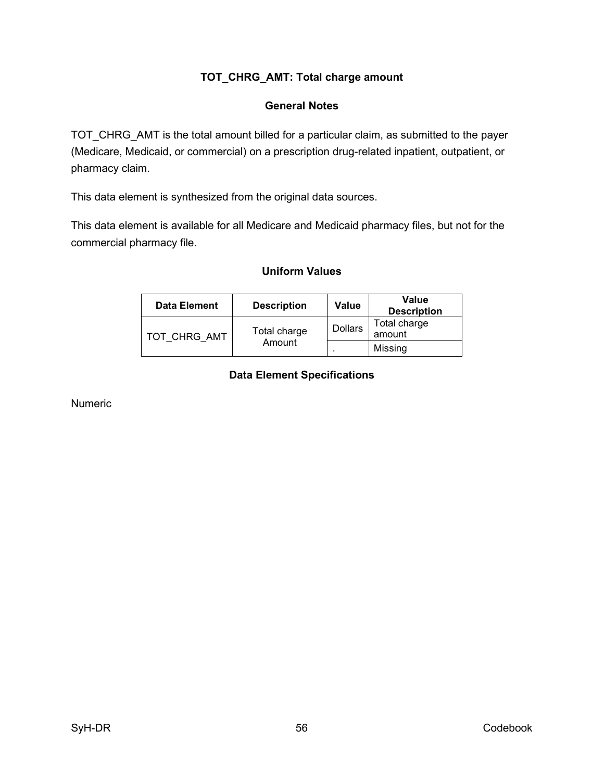# **TOT\_CHRG\_AMT: Total charge amount**

#### **General Notes**

<span id="page-63-1"></span><span id="page-63-0"></span>TOT\_CHRG\_AMT is the total amount billed for a particular claim, as submitted to the payer (Medicare, Medicaid, or commercial) on a prescription drug-related inpatient, outpatient, or pharmacy claim.

This data element is synthesized from the original data sources.

<span id="page-63-2"></span>This data element is available for all Medicare and Medicaid pharmacy files, but not for the commercial pharmacy file.

#### **Uniform Values**

<span id="page-63-3"></span>

| <b>Data Element</b> | <b>Description</b>     | Value          | Value<br><b>Description</b> |
|---------------------|------------------------|----------------|-----------------------------|
| TOT CHRG AMT        | Total charge<br>Amount | <b>Dollars</b> | Total charge<br>amount      |
|                     |                        |                | Missing                     |

# **Data Element Specifications**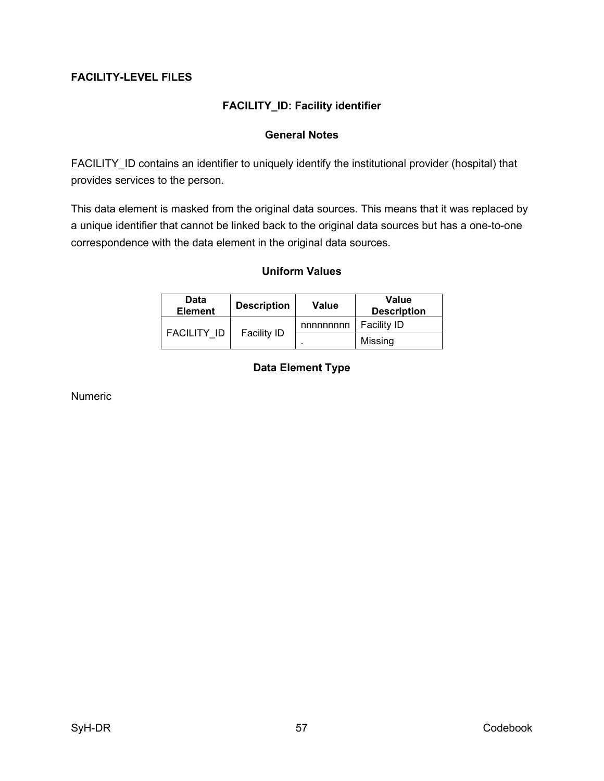### <span id="page-64-1"></span><span id="page-64-0"></span>**FACILITY-LEVEL FILES**

# **FACILITY\_ID: Facility identifier**

### **General Notes**

<span id="page-64-2"></span>FACILITY ID contains an identifier to uniquely identify the institutional provider (hospital) that provides services to the person.

<span id="page-64-3"></span>This data element is masked from the original data sources. This means that it was replaced by a unique identifier that cannot be linked back to the original data sources but has a one-to-one correspondence with the data element in the original data sources.

#### **Uniform Values**

<span id="page-64-4"></span>

| Data<br><b>Element</b> | <b>Description</b> | <b>Value</b>             | <b>Value</b><br><b>Description</b> |
|------------------------|--------------------|--------------------------|------------------------------------|
| FACILITY ID            | <b>Facility ID</b> | nnnnnnnn                 | <b>Facility ID</b>                 |
|                        |                    | $\overline{\phantom{a}}$ | Missing                            |

### **Data Element Type**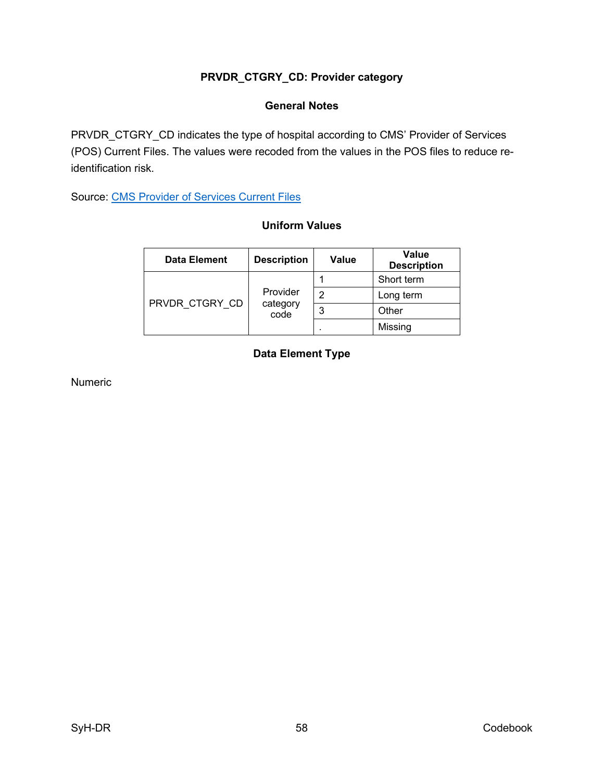# **PRVDR\_CTGRY\_CD: Provider category**

### **General Notes**

<span id="page-65-1"></span><span id="page-65-0"></span>PRVDR\_CTGRY\_CD indicates the type of hospital according to CMS' Provider of Services (POS) Current Files. The values were recoded from the values in the POS files to reduce reidentification risk.

<span id="page-65-2"></span>Source: [CMS Provider of Services Current Files](https://www.cms.gov/Research-Statistics-Data-and-Systems/Downloadable-Public-Use-Files/Provider-of-Services)

### **Uniform Values**

<span id="page-65-3"></span>

| <b>Data Element</b> | <b>Description</b>           | Value | <b>Value</b><br><b>Description</b> |
|---------------------|------------------------------|-------|------------------------------------|
| PRVDR CTGRY CD      | Provider<br>category<br>code |       | Short term                         |
|                     |                              | 2     | Long term                          |
|                     |                              | 3     | Other                              |
|                     |                              |       | Missing                            |

# **Data Element Type**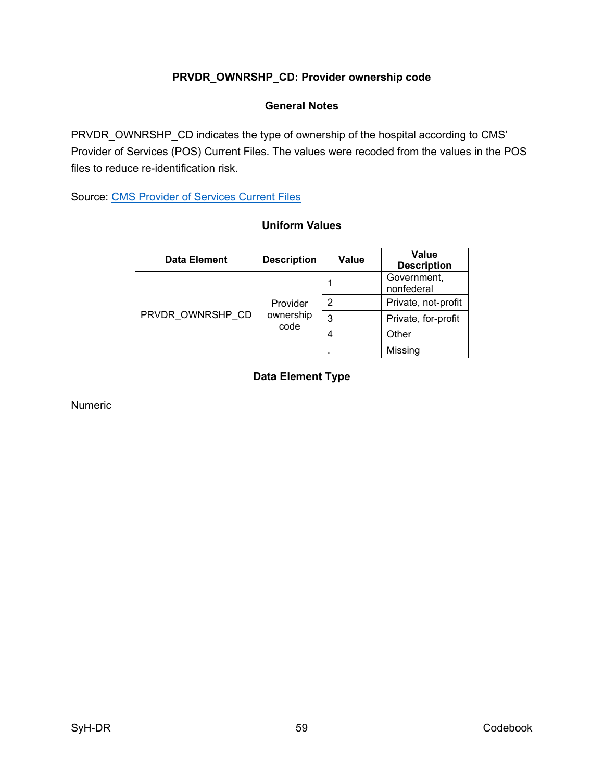# **PRVDR\_OWNRSHP\_CD: Provider ownership code**

### **General Notes**

<span id="page-66-1"></span><span id="page-66-0"></span>PRVDR\_OWNRSHP\_CD indicates the type of ownership of the hospital according to CMS' Provider of Services (POS) Current Files. The values were recoded from the values in the POS files to reduce re-identification risk.

<span id="page-66-2"></span>Source: [CMS Provider of Services Current Files](https://www.cms.gov/Research-Statistics-Data-and-Systems/Downloadable-Public-Use-Files/Provider-of-Services)

### **Uniform Values**

<span id="page-66-3"></span>

| <b>Data Element</b> | <b>Description</b>            | Value | Value<br><b>Description</b> |
|---------------------|-------------------------------|-------|-----------------------------|
| PRVDR OWNRSHP CD    | Provider<br>ownership<br>code |       | Government,<br>nonfederal   |
|                     |                               | 2     | Private, not-profit         |
|                     |                               | 3     | Private, for-profit         |
|                     |                               |       | Other                       |
|                     |                               |       | Missing                     |

# **Data Element Type**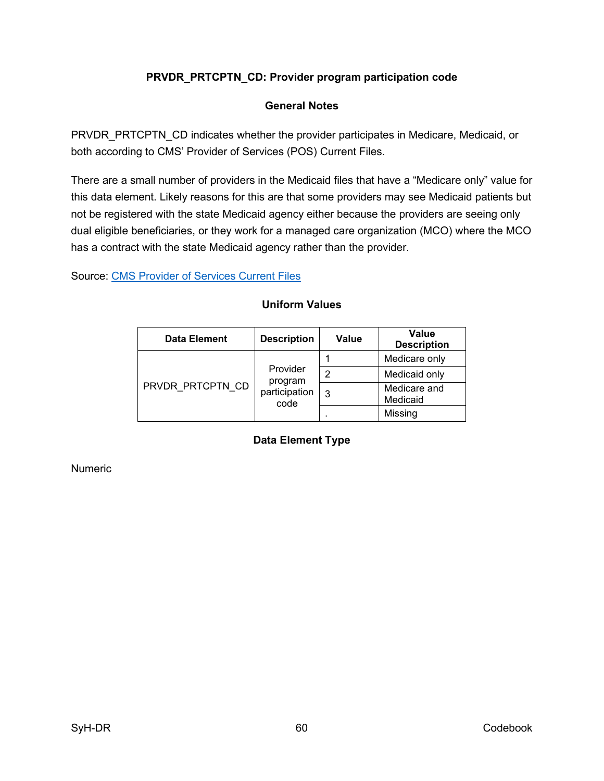# **PRVDR\_PRTCPTN\_CD: Provider program participation code**

### **General Notes**

<span id="page-67-1"></span><span id="page-67-0"></span>PRVDR\_PRTCPTN\_CD indicates whether the provider participates in Medicare, Medicaid, or both according to CMS' Provider of Services (POS) Current Files.

There are a small number of providers in the Medicaid files that have a "Medicare only" value for this data element. Likely reasons for this are that some providers may see Medicaid patients but not be registered with the state Medicaid agency either because the providers are seeing only dual eligible beneficiaries, or they work for a managed care organization (MCO) where the MCO has a contract with the state Medicaid agency rather than the provider.

<span id="page-67-2"></span>Source: [CMS Provider of Services Current Files](https://www.cms.gov/Research-Statistics-Data-and-Systems/Downloadable-Public-Use-Files/Provider-of-Services)

<span id="page-67-3"></span>

| <b>Data Element</b> | <b>Description</b>                           | <b>Value</b> | <b>Value</b><br><b>Description</b> |
|---------------------|----------------------------------------------|--------------|------------------------------------|
| PRVDR PRTCPTN CD    | Provider<br>program<br>participation<br>code |              | Medicare only                      |
|                     |                                              | っ            | Medicaid only                      |
|                     |                                              | 3            | Medicare and<br>Medicaid           |
|                     |                                              |              | Missing                            |

### **Uniform Values**

# **Data Element Type**